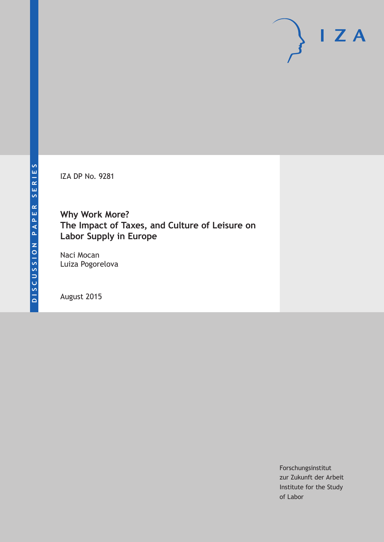IZA DP No. 9281

**Why Work More? The Impact of Taxes, and Culture of Leisure on Labor Supply in Europe**

Naci Mocan Luiza Pogorelova

August 2015

Forschungsinstitut zur Zukunft der Arbeit Institute for the Study of Labor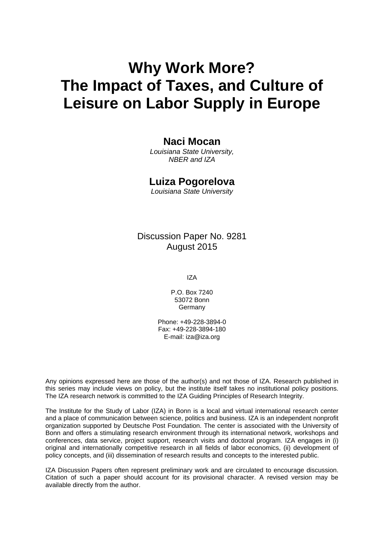# **Why Work More? The Impact of Taxes, and Culture of Leisure on Labor Supply in Europe**

### **Naci Mocan**

*Louisiana State University, NBER and IZA* 

### **Luiza Pogorelova**

*Louisiana State University* 

Discussion Paper No. 9281 August 2015

IZA

P.O. Box 7240 53072 Bonn **Germany** 

Phone: +49-228-3894-0 Fax: +49-228-3894-180 E-mail: iza@iza.org

Any opinions expressed here are those of the author(s) and not those of IZA. Research published in this series may include views on policy, but the institute itself takes no institutional policy positions. The IZA research network is committed to the IZA Guiding Principles of Research Integrity.

The Institute for the Study of Labor (IZA) in Bonn is a local and virtual international research center and a place of communication between science, politics and business. IZA is an independent nonprofit organization supported by Deutsche Post Foundation. The center is associated with the University of Bonn and offers a stimulating research environment through its international network, workshops and conferences, data service, project support, research visits and doctoral program. IZA engages in (i) original and internationally competitive research in all fields of labor economics, (ii) development of policy concepts, and (iii) dissemination of research results and concepts to the interested public.

IZA Discussion Papers often represent preliminary work and are circulated to encourage discussion. Citation of such a paper should account for its provisional character. A revised version may be available directly from the author.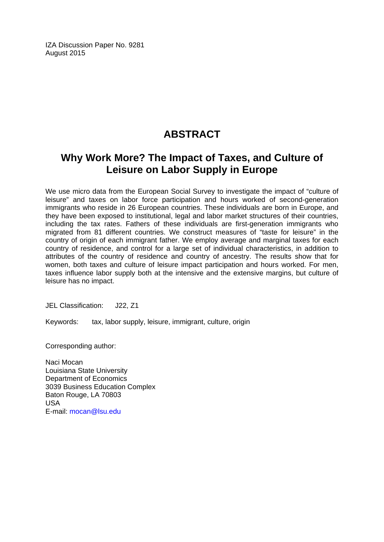IZA Discussion Paper No. 9281 August 2015

# **ABSTRACT**

# **Why Work More? The Impact of Taxes, and Culture of Leisure on Labor Supply in Europe**

We use micro data from the European Social Survey to investigate the impact of "culture of leisure" and taxes on labor force participation and hours worked of second-generation immigrants who reside in 26 European countries. These individuals are born in Europe, and they have been exposed to institutional, legal and labor market structures of their countries, including the tax rates. Fathers of these individuals are first-generation immigrants who migrated from 81 different countries. We construct measures of "taste for leisure" in the country of origin of each immigrant father. We employ average and marginal taxes for each country of residence, and control for a large set of individual characteristics, in addition to attributes of the country of residence and country of ancestry. The results show that for women, both taxes and culture of leisure impact participation and hours worked. For men, taxes influence labor supply both at the intensive and the extensive margins, but culture of leisure has no impact.

JEL Classification: J22, Z1

Keywords: tax, labor supply, leisure, immigrant, culture, origin

Corresponding author:

Naci Mocan Louisiana State University Department of Economics 3039 Business Education Complex Baton Rouge, LA 70803 USA E-mail: mocan@lsu.edu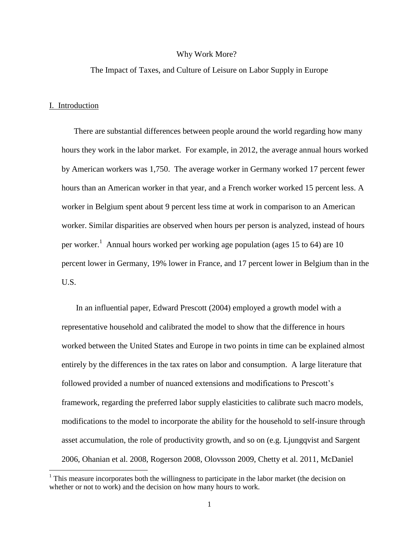#### Why Work More?

#### The Impact of Taxes, and Culture of Leisure on Labor Supply in Europe

### I. Introduction

 $\overline{\phantom{a}}$ 

There are substantial differences between people around the world regarding how many hours they work in the labor market. For example, in 2012, the average annual hours worked by American workers was 1,750. The average worker in Germany worked 17 percent fewer hours than an American worker in that year, and a French worker worked 15 percent less. A worker in Belgium spent about 9 percent less time at work in comparison to an American worker. Similar disparities are observed when hours per person is analyzed, instead of hours per worker.<sup>1</sup> Annual hours worked per working age population (ages 15 to 64) are 10 percent lower in Germany, 19% lower in France, and 17 percent lower in Belgium than in the U.S.

In an influential paper, Edward Prescott (2004) employed a growth model with a representative household and calibrated the model to show that the difference in hours worked between the United States and Europe in two points in time can be explained almost entirely by the differences in the tax rates on labor and consumption. A large literature that followed provided a number of nuanced extensions and modifications to Prescott's framework, regarding the preferred labor supply elasticities to calibrate such macro models, modifications to the model to incorporate the ability for the household to self-insure through asset accumulation, the role of productivity growth, and so on (e.g. Ljungqvist and Sargent 2006, Ohanian et al. 2008, Rogerson 2008, Olovsson 2009, Chetty et al. 2011, McDaniel

 $<sup>1</sup>$  This measure incorporates both the willingness to participate in the labor market (the decision on</sup> whether or not to work) and the decision on how many hours to work.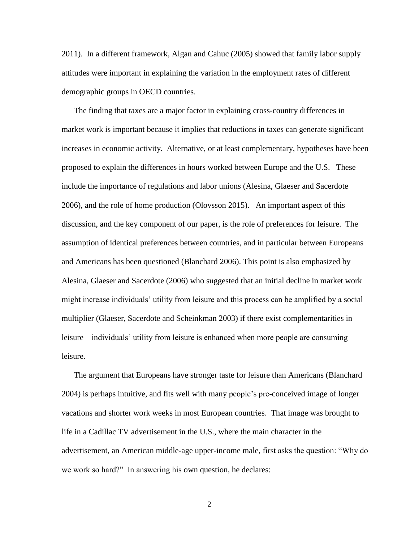2011). In a different framework, Algan and Cahuc (2005) showed that family labor supply attitudes were important in explaining the variation in the employment rates of different demographic groups in OECD countries.

The finding that taxes are a major factor in explaining cross-country differences in market work is important because it implies that reductions in taxes can generate significant increases in economic activity. Alternative, or at least complementary, hypotheses have been proposed to explain the differences in hours worked between Europe and the U.S. These include the importance of regulations and labor unions (Alesina, Glaeser and Sacerdote 2006), and the role of home production (Olovsson 2015). An important aspect of this discussion, and the key component of our paper, is the role of preferences for leisure. The assumption of identical preferences between countries, and in particular between Europeans and Americans has been questioned (Blanchard 2006). This point is also emphasized by Alesina, Glaeser and Sacerdote (2006) who suggested that an initial decline in market work might increase individuals" utility from leisure and this process can be amplified by a social multiplier (Glaeser, Sacerdote and Scheinkman 2003) if there exist complementarities in leisure – individuals" utility from leisure is enhanced when more people are consuming leisure.

The argument that Europeans have stronger taste for leisure than Americans (Blanchard 2004) is perhaps intuitive, and fits well with many people"s pre-conceived image of longer vacations and shorter work weeks in most European countries. That image was brought to life in a Cadillac TV advertisement in the U.S., where the main character in the advertisement, an American middle-age upper-income male, first asks the question: "Why do we work so hard?" In answering his own question, he declares: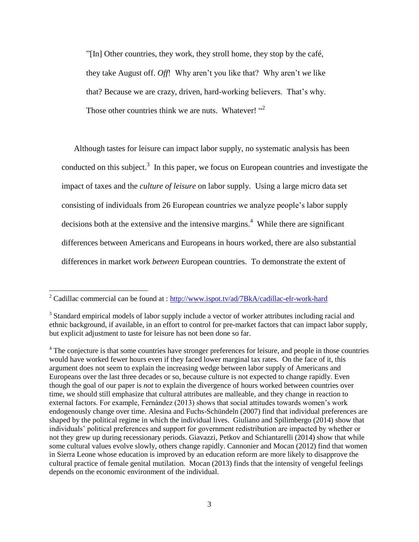"[In] Other countries, they work, they stroll home, they stop by the café, they take August off. *Off*! Why aren"t you like that? Why aren"t *we* like that? Because we are crazy, driven, hard-working believers. That's why. Those other countries think we are nuts. Whatever! "2

Although tastes for leisure can impact labor supply, no systematic analysis has been conducted on this subject.<sup>3</sup> In this paper, we focus on European countries and investigate the impact of taxes and the *culture of leisure* on labor supply. Using a large micro data set consisting of individuals from 26 European countries we analyze people"s labor supply decisions both at the extensive and the intensive margins.<sup>4</sup> While there are significant differences between Americans and Europeans in hours worked, there are also substantial differences in market work *between* European countries. To demonstrate the extent of

l

<sup>&</sup>lt;sup>2</sup> Cadillac commercial can be found at :<http://www.ispot.tv/ad/7BkA/cadillac-elr-work-hard>

<sup>&</sup>lt;sup>3</sup> Standard empirical models of labor supply include a vector of worker attributes including racial and ethnic background, if available, in an effort to control for pre-market factors that can impact labor supply, but explicit adjustment to taste for leisure has not been done so far.

<sup>&</sup>lt;sup>4</sup> The conjecture is that some countries have stronger preferences for leisure, and people in those countries would have worked fewer hours even if they faced lower marginal tax rates. On the face of it, this argument does not seem to explain the increasing wedge between labor supply of Americans and Europeans over the last three decades or so, because culture is not expected to change rapidly. Even though the goal of our paper is *not* to explain the divergence of hours worked between countries over time, we should still emphasize that cultural attributes are malleable, and they change in reaction to external factors. For example, Fernández (2013) shows that social attitudes towards women"s work endogenously change over time. Alesina and Fuchs-Schündeln (2007) find that individual preferences are shaped by the political regime in which the individual lives. Giuliano and Spilimbergo (2014) show that individuals" political preferences and support for government redistribution are impacted by whether or not they grew up during recessionary periods. Giavazzi, Petkov and Schiantarelli (2014) show that while some cultural values evolve slowly, others change rapidly. Cannonier and Mocan (2012) find that women in Sierra Leone whose education is improved by an education reform are more likely to disapprove the cultural practice of female genital mutilation. Mocan (2013) finds that the intensity of vengeful feelings depends on the economic environment of the individual.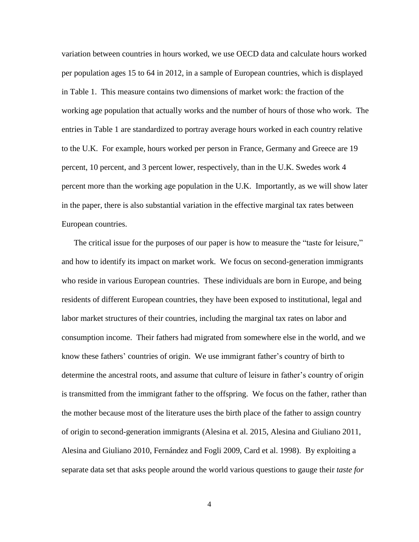variation between countries in hours worked, we use OECD data and calculate hours worked per population ages 15 to 64 in 2012, in a sample of European countries, which is displayed in Table 1. This measure contains two dimensions of market work: the fraction of the working age population that actually works and the number of hours of those who work. The entries in Table 1 are standardized to portray average hours worked in each country relative to the U.K. For example, hours worked per person in France, Germany and Greece are 19 percent, 10 percent, and 3 percent lower, respectively, than in the U.K. Swedes work 4 percent more than the working age population in the U.K. Importantly, as we will show later in the paper, there is also substantial variation in the effective marginal tax rates between European countries.

The critical issue for the purposes of our paper is how to measure the "taste for leisure," and how to identify its impact on market work. We focus on second-generation immigrants who reside in various European countries. These individuals are born in Europe, and being residents of different European countries, they have been exposed to institutional, legal and labor market structures of their countries, including the marginal tax rates on labor and consumption income. Their fathers had migrated from somewhere else in the world, and we know these fathers" countries of origin. We use immigrant father"s country of birth to determine the ancestral roots, and assume that culture of leisure in father"s country of origin is transmitted from the immigrant father to the offspring. We focus on the father, rather than the mother because most of the literature uses the birth place of the father to assign country of origin to second-generation immigrants (Alesina et al. 2015, Alesina and Giuliano 2011, Alesina and Giuliano 2010, Fernández and Fogli 2009, Card et al. 1998). By exploiting a separate data set that asks people around the world various questions to gauge their *taste for*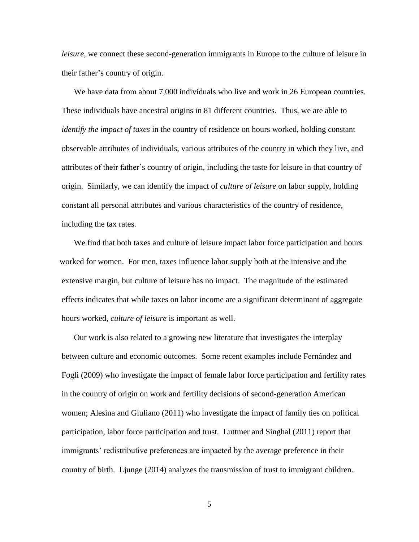*leisure*, we connect these second-generation immigrants in Europe to the culture of leisure in their father"s country of origin.

We have data from about 7,000 individuals who live and work in 26 European countries. These individuals have ancestral origins in 81 different countries. Thus, we are able to *identify the impact of taxes* in the country of residence on hours worked, holding constant observable attributes of individuals, various attributes of the country in which they live, and attributes of their father"s country of origin, including the taste for leisure in that country of origin. Similarly, we can identify the impact of *culture of leisure* on labor supply, holding constant all personal attributes and various characteristics of the country of residence, including the tax rates.

We find that both taxes and culture of leisure impact labor force participation and hours worked for women. For men, taxes influence labor supply both at the intensive and the extensive margin, but culture of leisure has no impact. The magnitude of the estimated effects indicates that while taxes on labor income are a significant determinant of aggregate hours worked, *culture of leisure* is important as well.

Our work is also related to a growing new literature that investigates the interplay between culture and economic outcomes. Some recent examples include Fernández and Fogli (2009) who investigate the impact of female labor force participation and fertility rates in the country of origin on work and fertility decisions of second-generation American women; Alesina and Giuliano (2011) who investigate the impact of family ties on political participation, labor force participation and trust. Luttmer and Singhal (2011) report that immigrants' redistributive preferences are impacted by the average preference in their country of birth. Ljunge (2014) analyzes the transmission of trust to immigrant children.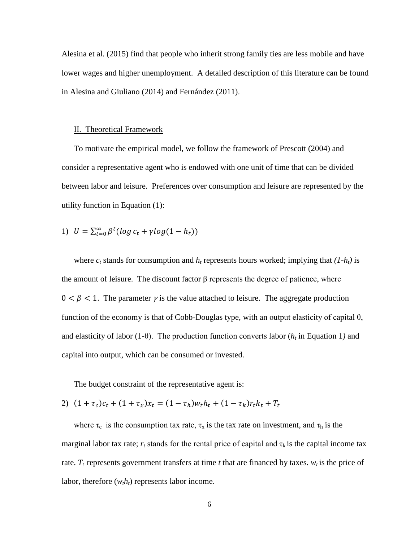Alesina et al. (2015) find that people who inherit strong family ties are less mobile and have lower wages and higher unemployment. A detailed description of this literature can be found in Alesina and Giuliano (2014) and Fernández (2011).

#### II. Theoretical Framework

To motivate the empirical model, we follow the framework of Prescott (2004) and consider a representative agent who is endowed with one unit of time that can be divided between labor and leisure. Preferences over consumption and leisure are represented by the utility function in Equation (1):

1) 
$$
U = \sum_{t=0}^{\infty} \beta^t (\log c_t + \gamma \log(1 - h_t))
$$

where  $c_t$  stands for consumption and  $h_t$  represents hours worked; implying that  $(I-h_t)$  is the amount of leisure. The discount factor  $\beta$  represents the degree of patience, where  $0 < \beta < 1$ . The parameter *γ* is the value attached to leisure. The aggregate production function of the economy is that of Cobb-Douglas type, with an output elasticity of capital  $\theta$ , and elasticity of labor (1-θ). The production function converts labor (*h<sup>t</sup>* in Equation 1*)* and capital into output, which can be consumed or invested.

The budget constraint of the representative agent is:

2)  $(1 + \tau_c)c_t + (1 + \tau_x)x_t = (1 - \tau_h)w_t h_t + (1 - \tau_k)$ 

where  $\tau_c$  is the consumption tax rate,  $\tau_x$  is the tax rate on investment, and  $\tau_h$  is the marginal labor tax rate;  $r_t$  stands for the rental price of capital and  $\tau_k$  is the capital income tax rate.  $T_t$  represents government transfers at time  $t$  that are financed by taxes.  $w_t$  is the price of labor, therefore  $(w<sub>t</sub>h<sub>t</sub>)$  represents labor income.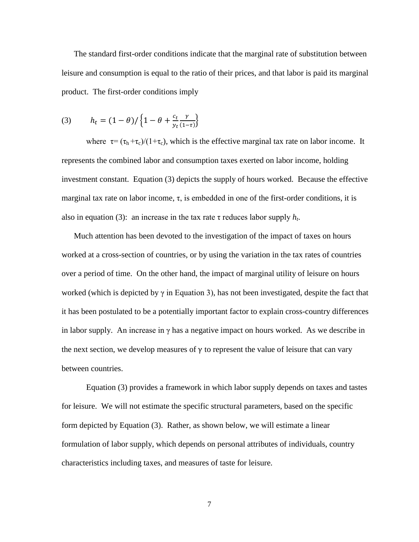The standard first-order conditions indicate that the marginal rate of substitution between leisure and consumption is equal to the ratio of their prices, and that labor is paid its marginal product. The first-order conditions imply

$$
(3) \qquad h_t = (1 - \theta) / \left\{ 1 - \theta + \frac{c_t}{y_t} \frac{\gamma}{(1 - \tau)} \right\}
$$

where  $\tau = (\tau_h + \tau_c)/(1 + \tau_c)$ , which is the effective marginal tax rate on labor income. It represents the combined labor and consumption taxes exerted on labor income, holding investment constant. Equation (3) depicts the supply of hours worked. Because the effective marginal tax rate on labor income,  $\tau$ , is embedded in one of the first-order conditions, it is also in equation (3): an increase in the tax rate  $\tau$  reduces labor supply  $h_t$ .

Much attention has been devoted to the investigation of the impact of taxes on hours worked at a cross-section of countries, or by using the variation in the tax rates of countries over a period of time. On the other hand, the impact of marginal utility of leisure on hours worked (which is depicted by  $\gamma$  in Equation 3), has not been investigated, despite the fact that it has been postulated to be a potentially important factor to explain cross-country differences in labor supply. An increase in  $\gamma$  has a negative impact on hours worked. As we describe in the next section, we develop measures of  $\gamma$  to represent the value of leisure that can vary between countries.

Equation (3) provides a framework in which labor supply depends on taxes and tastes for leisure. We will not estimate the specific structural parameters, based on the specific form depicted by Equation (3). Rather, as shown below, we will estimate a linear formulation of labor supply, which depends on personal attributes of individuals, country characteristics including taxes, and measures of taste for leisure.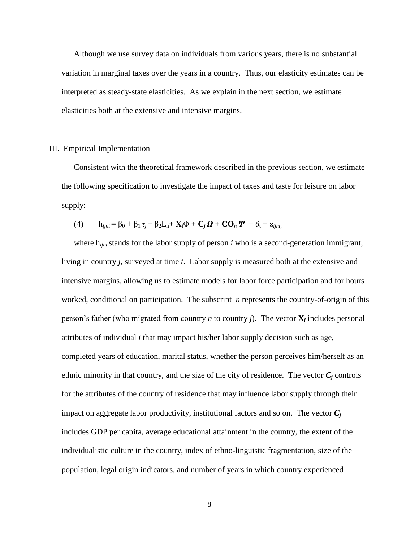Although we use survey data on individuals from various years, there is no substantial variation in marginal taxes over the years in a country. Thus, our elasticity estimates can be interpreted as steady-state elasticities. As we explain in the next section, we estimate elasticities both at the extensive and intensive margins.

#### III. Empirical Implementation

Consistent with the theoretical framework described in the previous section, we estimate the following specification to investigate the impact of taxes and taste for leisure on labor supply:

(4) 
$$
h_{ijnt} = \beta_0 + \beta_1 \tau_j + \beta_2 L_n + X_i \Phi + C_j \Omega + \mathbf{CO}_n \Psi + \delta_t + \varepsilon_{ijnt}
$$

where h<sub>ijnt</sub> stands for the labor supply of person *i* who is a second-generation immigrant, living in country *j,* surveyed at time *t*. Labor supply is measured both at the extensive and intensive margins, allowing us to estimate models for labor force participation and for hours worked, conditional on participation. The subscript *n* represents the country-of-origin of this person's father (who migrated from country *n* to country *j*). The vector  $\mathbf{X}_i$  includes personal attributes of individual *i* that may impact his/her labor supply decision such as age, completed years of education, marital status, whether the person perceives him/herself as an ethnic minority in that country, and the size of the city of residence. The vector  $C_j$  controls for the attributes of the country of residence that may influence labor supply through their impact on aggregate labor productivity, institutional factors and so on. The vector  $C_i$ includes GDP per capita, average educational attainment in the country, the extent of the individualistic culture in the country, index of ethno-linguistic fragmentation, size of the population, legal origin indicators, and number of years in which country experienced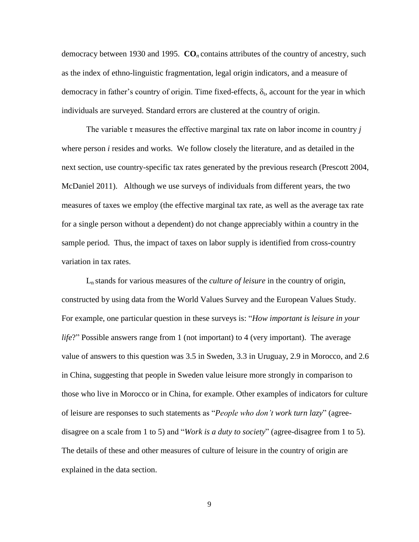democracy between 1930 and 1995. **CO***<sup>n</sup>* contains attributes of the country of ancestry, such as the index of ethno-linguistic fragmentation, legal origin indicators, and a measure of democracy in father's country of origin. Time fixed-effects,  $\delta_t$ , account for the year in which individuals are surveyed. Standard errors are clustered at the country of origin.

The variable  $\tau$  measures the effective marginal tax rate on labor income in country *j* where person *i* resides and works. We follow closely the literature, and as detailed in the next section, use country-specific tax rates generated by the previous research (Prescott 2004, McDaniel 2011). Although we use surveys of individuals from different years, the two measures of taxes we employ (the effective marginal tax rate, as well as the average tax rate for a single person without a dependent) do not change appreciably within a country in the sample period. Thus, the impact of taxes on labor supply is identified from cross-country variation in tax rates.

L<sup>n</sup> stands for various measures of the *culture of leisure* in the country of origin, constructed by using data from the World Values Survey and the European Values Study. For example, one particular question in these surveys is: "*How important is leisure in your life*?" Possible answers range from 1 (not important) to 4 (very important). The average value of answers to this question was 3.5 in Sweden, 3.3 in Uruguay, 2.9 in Morocco, and 2.6 in China, suggesting that people in Sweden value leisure more strongly in comparison to those who live in Morocco or in China, for example. Other examples of indicators for culture of leisure are responses to such statements as "*People who don't work turn lazy*" (agreedisagree on a scale from 1 to 5) and "*Work is a duty to society*" (agree-disagree from 1 to 5). The details of these and other measures of culture of leisure in the country of origin are explained in the data section.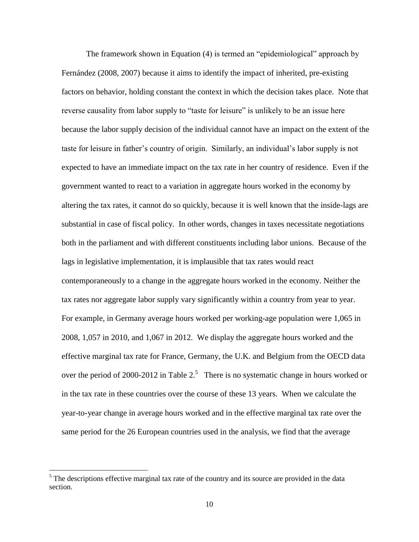The framework shown in Equation (4) is termed an "epidemiological" approach by Fernández (2008, 2007) because it aims to identify the impact of inherited, pre-existing factors on behavior, holding constant the context in which the decision takes place. Note that reverse causality from labor supply to "taste for leisure" is unlikely to be an issue here because the labor supply decision of the individual cannot have an impact on the extent of the taste for leisure in father"s country of origin. Similarly, an individual"s labor supply is not expected to have an immediate impact on the tax rate in her country of residence. Even if the government wanted to react to a variation in aggregate hours worked in the economy by altering the tax rates, it cannot do so quickly, because it is well known that the inside-lags are substantial in case of fiscal policy. In other words, changes in taxes necessitate negotiations both in the parliament and with different constituents including labor unions. Because of the lags in legislative implementation, it is implausible that tax rates would react contemporaneously to a change in the aggregate hours worked in the economy. Neither the tax rates nor aggregate labor supply vary significantly within a country from year to year. For example, in Germany average hours worked per working-age population were 1,065 in 2008, 1,057 in 2010, and 1,067 in 2012. We display the aggregate hours worked and the effective marginal tax rate for France, Germany, the U.K. and Belgium from the OECD data over the period of 2000-2012 in Table  $2<sup>5</sup>$  There is no systematic change in hours worked or in the tax rate in these countries over the course of these 13 years. When we calculate the year-to-year change in average hours worked and in the effective marginal tax rate over the same period for the 26 European countries used in the analysis, we find that the average

<sup>&</sup>lt;sup>5</sup> The descriptions effective marginal tax rate of the country and its source are provided in the data section.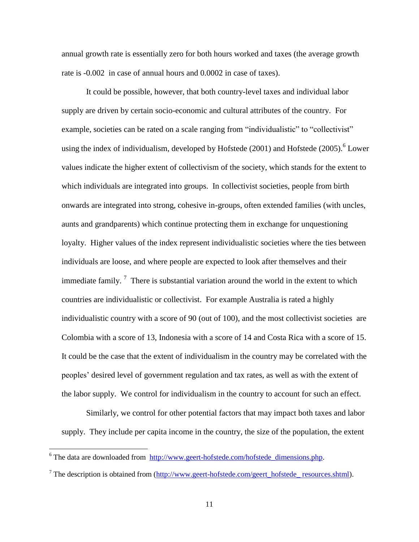annual growth rate is essentially zero for both hours worked and taxes (the average growth rate is -0.002 in case of annual hours and 0.0002 in case of taxes).

It could be possible, however, that both country-level taxes and individual labor supply are driven by certain socio-economic and cultural attributes of the country. For example, societies can be rated on a scale ranging from "individualistic" to "collectivist" using the index of individualism, developed by Hofstede  $(2001)$  and Hofstede  $(2005)$ .<sup>6</sup> Lower values indicate the higher extent of collectivism of the society, which stands for the extent to which individuals are integrated into groups. In collectivist societies, people from birth onwards are integrated into strong, cohesive in-groups, often extended families (with uncles, aunts and grandparents) which continue protecting them in exchange for unquestioning loyalty. Higher values of the index represent individualistic societies where the ties between individuals are loose, and where people are expected to look after themselves and their immediate family.<sup>7</sup> There is substantial variation around the world in the extent to which countries are individualistic or collectivist. For example Australia is rated a highly individualistic country with a score of 90 (out of 100), and the most collectivist societies are Colombia with a score of 13, Indonesia with a score of 14 and Costa Rica with a score of 15. It could be the case that the extent of individualism in the country may be correlated with the peoples" desired level of government regulation and tax rates, as well as with the extent of the labor supply. We control for individualism in the country to account for such an effect.

Similarly, we control for other potential factors that may impact both taxes and labor supply. They include per capita income in the country, the size of the population, the extent

 $6$  The data are downloaded from  $\frac{http://www.geert-hofstede.com/hofstede dimensions.php.}{}$ 

 $<sup>7</sup>$  The description is obtained from [\(http://www.geert-hofstede.com/geert\\_hofstede\\_ resources.shtml\)](http://www.geert-hofstede.com/geert_hofstede_%20resources.shtml).</sup>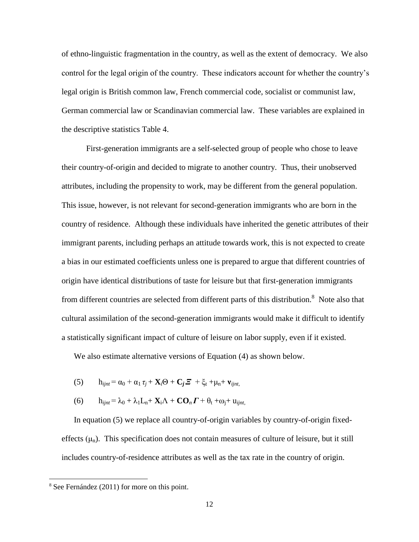of ethno-linguistic fragmentation in the country, as well as the extent of democracy. We also control for the legal origin of the country. These indicators account for whether the country"s legal origin is British common law, French commercial code, socialist or communist law, German commercial law or Scandinavian commercial law. These variables are explained in the descriptive statistics Table 4.

First-generation immigrants are a self-selected group of people who chose to leave their country-of-origin and decided to migrate to another country. Thus, their unobserved attributes, including the propensity to work, may be different from the general population. This issue, however, is not relevant for second-generation immigrants who are born in the country of residence. Although these individuals have inherited the genetic attributes of their immigrant parents, including perhaps an attitude towards work, this is not expected to create a bias in our estimated coefficients unless one is prepared to argue that different countries of origin have identical distributions of taste for leisure but that first-generation immigrants from different countries are selected from different parts of this distribution.<sup>8</sup> Note also that cultural assimilation of the second-generation immigrants would make it difficult to identify a statistically significant impact of culture of leisure on labor supply, even if it existed.

We also estimate alternative versions of Equation (4) as shown below.

- (5)  $h_{ijnt} = \alpha_0 + \alpha_1 \tau_i + \mathbf{X}_i \Theta + \mathbf{C}_i \mathbf{Z} + \xi_t + \mu_n + \mathbf{v}_{iint}$
- (6)  $h_{\text{int}} = \lambda_0 + \lambda_1 L_n + \mathbf{X}_i \Lambda + \mathbf{CO}_n \mathbf{\Gamma} + \theta_t + \omega_i + u_{\text{int}}$

In equation (5) we replace all country-of-origin variables by country-of-origin fixedeffects  $(\mu_n)$ . This specification does not contain measures of culture of leisure, but it still includes country-of-residence attributes as well as the tax rate in the country of origin.

 $\overline{a}$ 

<sup>8</sup> See Fernández (2011) for more on this point.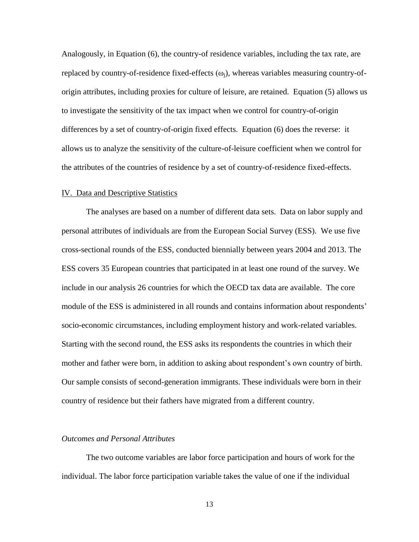Analogously, in Equation (6), the country-of residence variables, including the tax rate, are replaced by country-of-residence fixed-effects  $(\omega_i)$ , whereas variables measuring country-oforigin attributes, including proxies for culture of leisure, are retained. Equation (5) allows us to investigate the sensitivity of the tax impact when we control for country-of-origin differences by a set of country-of-origin fixed effects. Equation (6) does the reverse: it allows us to analyze the sensitivity of the culture-of-leisure coefficient when we control for the attributes of the countries of residence by a set of country-of-residence fixed-effects.

#### IV. Data and Descriptive Statistics

The analyses are based on a number of different data sets. Data on labor supply and personal attributes of individuals are from the European Social Survey (ESS). We use five cross-sectional rounds of the ESS, conducted biennially between years 2004 and 2013. The ESS covers 35 European countries that participated in at least one round of the survey. We include in our analysis 26 countries for which the OECD tax data are available. The core module of the ESS is administered in all rounds and contains information about respondents" socio-economic circumstances, including employment history and work-related variables. Starting with the second round, the ESS asks its respondents the countries in which their mother and father were born, in addition to asking about respondent"s own country of birth. Our sample consists of second-generation immigrants. These individuals were born in their country of residence but their fathers have migrated from a different country.

### *Outcomes and Personal Attributes*

The two outcome variables are labor force participation and hours of work for the individual. The labor force participation variable takes the value of one if the individual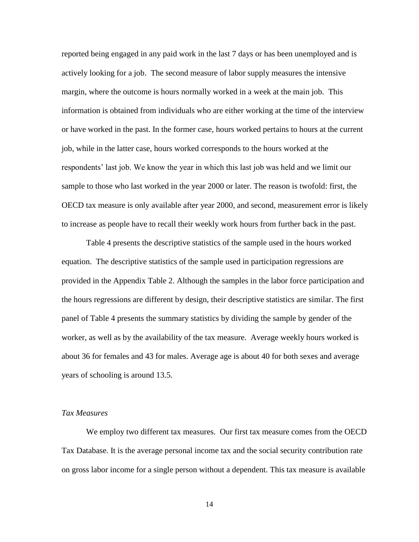reported being engaged in any paid work in the last 7 days or has been unemployed and is actively looking for a job. The second measure of labor supply measures the intensive margin, where the outcome is hours normally worked in a week at the main job. This information is obtained from individuals who are either working at the time of the interview or have worked in the past. In the former case, hours worked pertains to hours at the current job, while in the latter case, hours worked corresponds to the hours worked at the respondents' last job. We know the year in which this last job was held and we limit our sample to those who last worked in the year 2000 or later. The reason is twofold: first, the OECD tax measure is only available after year 2000, and second, measurement error is likely to increase as people have to recall their weekly work hours from further back in the past.

Table 4 presents the descriptive statistics of the sample used in the hours worked equation. The descriptive statistics of the sample used in participation regressions are provided in the Appendix Table 2. Although the samples in the labor force participation and the hours regressions are different by design, their descriptive statistics are similar. The first panel of Table 4 presents the summary statistics by dividing the sample by gender of the worker, as well as by the availability of the tax measure. Average weekly hours worked is about 36 for females and 43 for males. Average age is about 40 for both sexes and average years of schooling is around 13.5.

#### *Tax Measures*

We employ two different tax measures. Our first tax measure comes from the OECD Tax Database. It is the average personal income tax and the social security contribution rate on gross labor income for a single person without a dependent. This tax measure is available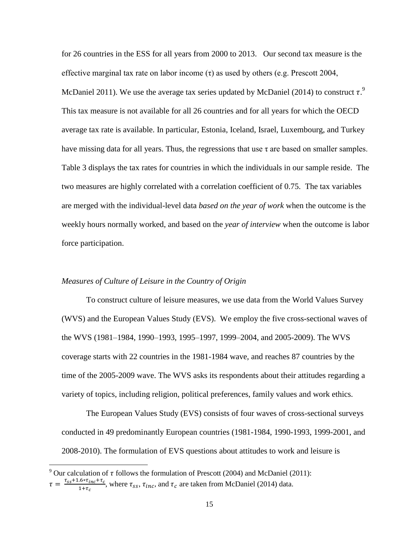for 26 countries in the ESS for all years from 2000 to 2013. Our second tax measure is the effective marginal tax rate on labor income  $(\tau)$  as used by others (e.g. Prescott 2004, McDaniel 2011). We use the average tax series updated by McDaniel (2014) to construct  $\tau$ . This tax measure is not available for all 26 countries and for all years for which the OECD average tax rate is available. In particular, Estonia, Iceland, Israel, Luxembourg, and Turkey have missing data for all years. Thus, the regressions that use  $\tau$  are based on smaller samples. Table 3 displays the tax rates for countries in which the individuals in our sample reside. The two measures are highly correlated with a correlation coefficient of 0.75. The tax variables are merged with the individual-level data *based on the year of work* when the outcome is the weekly hours normally worked, and based on the *year of interview* when the outcome is labor force participation.

### *Measures of Culture of Leisure in the Country of Origin*

To construct culture of leisure measures, we use data from the World Values Survey (WVS) and the European Values Study (EVS). We employ the five cross-sectional waves of the WVS (1981–1984, 1990–1993, 1995–1997, 1999–2004, and 2005-2009). The WVS coverage starts with 22 countries in the 1981-1984 wave, and reaches 87 countries by the time of the 2005-2009 wave. The WVS asks its respondents about their attitudes regarding a variety of topics, including religion, political preferences, family values and work ethics.

The European Values Study (EVS) consists of four waves of cross-sectional surveys conducted in 49 predominantly European countries (1981-1984, 1990-1993, 1999-2001, and 2008-2010). The formulation of EVS questions about attitudes to work and leisure is

<sup>&</sup>lt;sup>9</sup> Our calculation of  $\tau$  follows the formulation of Prescott (2004) and McDaniel (2011):

 $\tau = \frac{\tau}{\tau}$  $\frac{1.6 * t_{inc} + t_c}{1 + \tau_c}$ , where  $\tau_{ss}$ ,  $\tau_{inc}$ , and  $\tau_c$  are taken from McDaniel (2014) data.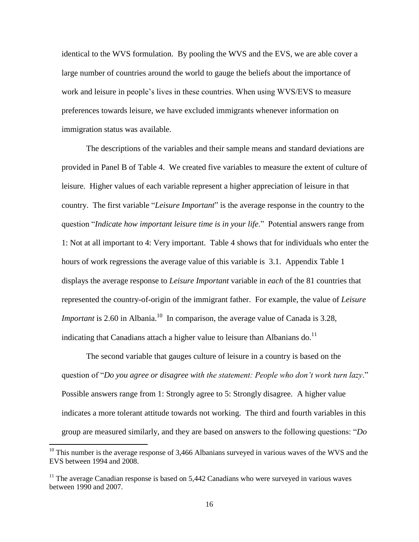identical to the WVS formulation. By pooling the WVS and the EVS, we are able cover a large number of countries around the world to gauge the beliefs about the importance of work and leisure in people"s lives in these countries. When using WVS/EVS to measure preferences towards leisure, we have excluded immigrants whenever information on immigration status was available.

The descriptions of the variables and their sample means and standard deviations are provided in Panel B of Table 4. We created five variables to measure the extent of culture of leisure. Higher values of each variable represent a higher appreciation of leisure in that country. The first variable "*Leisure Important*" is the average response in the country to the question "*Indicate how important leisure time is in your life*." Potential answers range from 1: Not at all important to 4: Very important. Table 4 shows that for individuals who enter the hours of work regressions the average value of this variable is 3.1. Appendix Table 1 displays the average response to *Leisure Important* variable in *each* of the 81 countries that represented the country-of-origin of the immigrant father. For example, the value of *Leisure Important* is 2.60 in Albania.<sup>10</sup> In comparison, the average value of Canada is 3.28, indicating that Canadians attach a higher value to leisure than Albanians do. $^{11}$ 

The second variable that gauges culture of leisure in a country is based on the question of "*Do you agree or disagree with the statement: People who don't work turn lazy*." Possible answers range from 1: Strongly agree to 5: Strongly disagree. A higher value indicates a more tolerant attitude towards not working. The third and fourth variables in this group are measured similarly, and they are based on answers to the following questions: "*Do* 

 $10$  This number is the average response of 3,466 Albanians surveyed in various waves of the WVS and the EVS between 1994 and 2008.

 $11$  The average Canadian response is based on 5,442 Canadians who were surveyed in various waves between 1990 and 2007.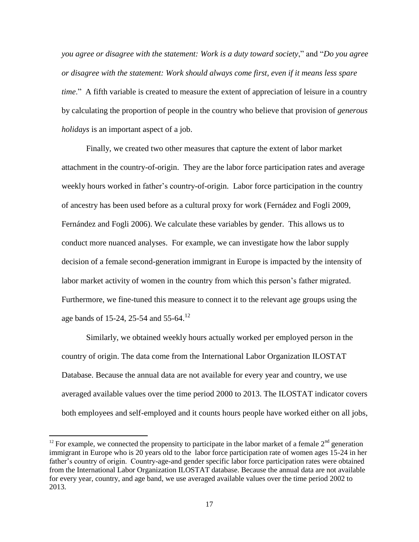*you agree or disagree with the statement: Work is a duty toward society*," and "*Do you agree or disagree with the statement: Work should always come first, even if it means less spare time*." A fifth variable is created to measure the extent of appreciation of leisure in a country by calculating the proportion of people in the country who believe that provision of *generous holidays* is an important aspect of a job.

Finally, we created two other measures that capture the extent of labor market attachment in the country-of-origin. They are the labor force participation rates and average weekly hours worked in father's country-of-origin. Labor force participation in the country of ancestry has been used before as a cultural proxy for work (Fernádez and Fogli 2009, Fernández and Fogli 2006). We calculate these variables by gender. This allows us to conduct more nuanced analyses. For example, we can investigate how the labor supply decision of a female second-generation immigrant in Europe is impacted by the intensity of labor market activity of women in the country from which this person's father migrated. Furthermore, we fine-tuned this measure to connect it to the relevant age groups using the age bands of 15-24, 25-54 and 55-64.<sup>12</sup>

Similarly, we obtained weekly hours actually worked per employed person in the country of origin. The data come from the International Labor Organization ILOSTAT Database. Because the annual data are not available for every year and country, we use averaged available values over the time period 2000 to 2013. The ILOSTAT indicator covers both employees and self-employed and it counts hours people have worked either on all jobs,

<sup>&</sup>lt;sup>12</sup> For example, we connected the propensity to participate in the labor market of a female  $2<sup>nd</sup>$  generation immigrant in Europe who is 20 years old to the labor force participation rate of women ages 15-24 in her father"s country of origin. Country-age-and gender specific labor force participation rates were obtained from the International Labor Organization ILOSTAT database. Because the annual data are not available for every year, country, and age band, we use averaged available values over the time period 2002 to 2013.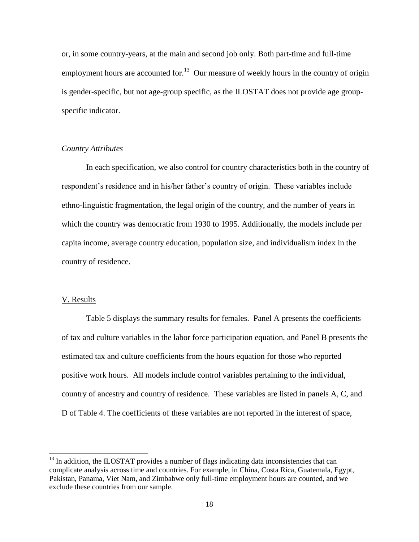or, in some country-years, at the main and second job only. Both part-time and full-time employment hours are accounted for.<sup>13</sup> Our measure of weekly hours in the country of origin is gender-specific, but not age-group specific, as the ILOSTAT does not provide age groupspecific indicator.

### *Country Attributes*

In each specification, we also control for country characteristics both in the country of respondent's residence and in his/her father's country of origin. These variables include ethno-linguistic fragmentation, the legal origin of the country, and the number of years in which the country was democratic from 1930 to 1995. Additionally, the models include per capita income, average country education, population size, and individualism index in the country of residence.

#### V. Results

 $\overline{a}$ 

Table 5 displays the summary results for females. Panel A presents the coefficients of tax and culture variables in the labor force participation equation, and Panel B presents the estimated tax and culture coefficients from the hours equation for those who reported positive work hours. All models include control variables pertaining to the individual, country of ancestry and country of residence. These variables are listed in panels A, C, and D of Table 4. The coefficients of these variables are not reported in the interest of space,

 $13$  In addition, the ILOSTAT provides a number of flags indicating data inconsistencies that can complicate analysis across time and countries. For example, in China, Costa Rica, Guatemala, Egypt, Pakistan, Panama, Viet Nam, and Zimbabwe only full-time employment hours are counted, and we exclude these countries from our sample.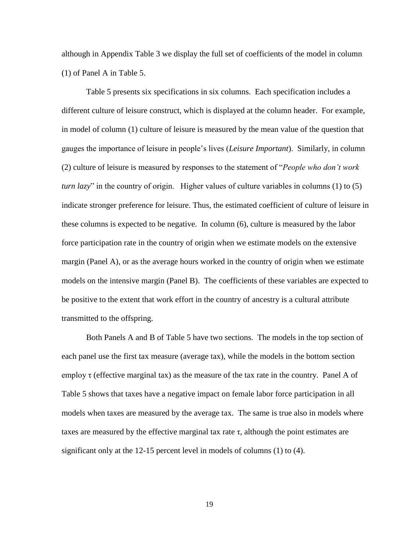although in Appendix Table 3 we display the full set of coefficients of the model in column (1) of Panel A in Table 5.

Table 5 presents six specifications in six columns. Each specification includes a different culture of leisure construct, which is displayed at the column header. For example, in model of column (1) culture of leisure is measured by the mean value of the question that gauges the importance of leisure in people"s lives (*Leisure Important*). Similarly, in column (2) culture of leisure is measured by responses to the statement of "*People who don't work turn lazy*" in the country of origin. Higher values of culture variables in columns (1) to (5) indicate stronger preference for leisure. Thus, the estimated coefficient of culture of leisure in these columns is expected to be negative. In column (6), culture is measured by the labor force participation rate in the country of origin when we estimate models on the extensive margin (Panel A), or as the average hours worked in the country of origin when we estimate models on the intensive margin (Panel B). The coefficients of these variables are expected to be positive to the extent that work effort in the country of ancestry is a cultural attribute transmitted to the offspring.

Both Panels A and B of Table 5 have two sections. The models in the top section of each panel use the first tax measure (average tax), while the models in the bottom section employ  $\tau$  (effective marginal tax) as the measure of the tax rate in the country. Panel A of Table 5 shows that taxes have a negative impact on female labor force participation in all models when taxes are measured by the average tax. The same is true also in models where taxes are measured by the effective marginal tax rate  $\tau$ , although the point estimates are significant only at the 12-15 percent level in models of columns (1) to (4).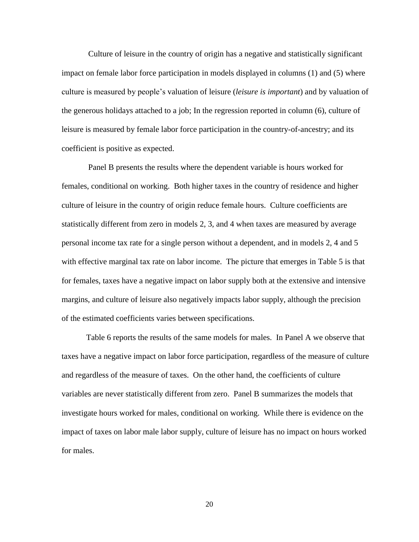Culture of leisure in the country of origin has a negative and statistically significant impact on female labor force participation in models displayed in columns (1) and (5) where culture is measured by people"s valuation of leisure (*leisure is important*) and by valuation of the generous holidays attached to a job; In the regression reported in column (6), culture of leisure is measured by female labor force participation in the country-of-ancestry; and its coefficient is positive as expected.

Panel B presents the results where the dependent variable is hours worked for females, conditional on working. Both higher taxes in the country of residence and higher culture of leisure in the country of origin reduce female hours. Culture coefficients are statistically different from zero in models 2, 3, and 4 when taxes are measured by average personal income tax rate for a single person without a dependent, and in models 2, 4 and 5 with effective marginal tax rate on labor income. The picture that emerges in Table 5 is that for females, taxes have a negative impact on labor supply both at the extensive and intensive margins, and culture of leisure also negatively impacts labor supply, although the precision of the estimated coefficients varies between specifications.

Table 6 reports the results of the same models for males. In Panel A we observe that taxes have a negative impact on labor force participation, regardless of the measure of culture and regardless of the measure of taxes. On the other hand, the coefficients of culture variables are never statistically different from zero. Panel B summarizes the models that investigate hours worked for males, conditional on working. While there is evidence on the impact of taxes on labor male labor supply, culture of leisure has no impact on hours worked for males.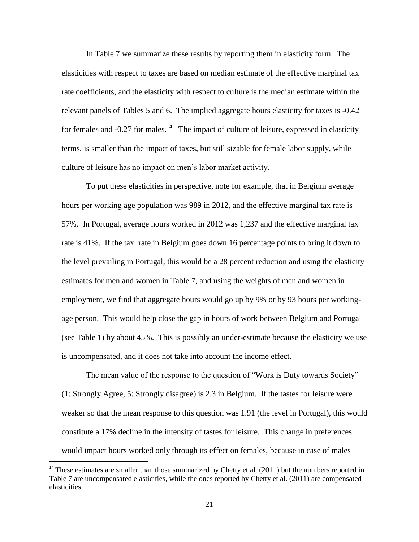In Table 7 we summarize these results by reporting them in elasticity form. The elasticities with respect to taxes are based on median estimate of the effective marginal tax rate coefficients, and the elasticity with respect to culture is the median estimate within the relevant panels of Tables 5 and 6. The implied aggregate hours elasticity for taxes is -0.42 for females and  $-0.27$  for males.<sup>14</sup> The impact of culture of leisure, expressed in elasticity terms, is smaller than the impact of taxes, but still sizable for female labor supply, while culture of leisure has no impact on men"s labor market activity.

To put these elasticities in perspective, note for example, that in Belgium average hours per working age population was 989 in 2012, and the effective marginal tax rate is 57%. In Portugal, average hours worked in 2012 was 1,237 and the effective marginal tax rate is 41%. If the tax rate in Belgium goes down 16 percentage points to bring it down to the level prevailing in Portugal, this would be a 28 percent reduction and using the elasticity estimates for men and women in Table 7, and using the weights of men and women in employment, we find that aggregate hours would go up by 9% or by 93 hours per workingage person. This would help close the gap in hours of work between Belgium and Portugal (see Table 1) by about 45%. This is possibly an under-estimate because the elasticity we use is uncompensated, and it does not take into account the income effect.

The mean value of the response to the question of "Work is Duty towards Society" (1: Strongly Agree, 5: Strongly disagree) is 2.3 in Belgium. If the tastes for leisure were weaker so that the mean response to this question was 1.91 (the level in Portugal), this would constitute a 17% decline in the intensity of tastes for leisure. This change in preferences would impact hours worked only through its effect on females, because in case of males

 $\overline{a}$ 

 $14$  These estimates are smaller than those summarized by Chetty et al. (2011) but the numbers reported in Table 7 are uncompensated elasticities, while the ones reported by Chetty et al. (2011) are compensated elasticities.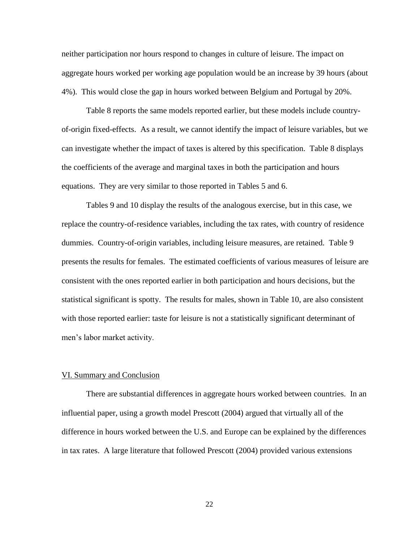neither participation nor hours respond to changes in culture of leisure. The impact on aggregate hours worked per working age population would be an increase by 39 hours (about 4%). This would close the gap in hours worked between Belgium and Portugal by 20%.

Table 8 reports the same models reported earlier, but these models include countryof-origin fixed-effects. As a result, we cannot identify the impact of leisure variables, but we can investigate whether the impact of taxes is altered by this specification. Table 8 displays the coefficients of the average and marginal taxes in both the participation and hours equations. They are very similar to those reported in Tables 5 and 6.

Tables 9 and 10 display the results of the analogous exercise, but in this case, we replace the country-of-residence variables, including the tax rates, with country of residence dummies. Country-of-origin variables, including leisure measures, are retained. Table 9 presents the results for females. The estimated coefficients of various measures of leisure are consistent with the ones reported earlier in both participation and hours decisions, but the statistical significant is spotty. The results for males, shown in Table 10, are also consistent with those reported earlier: taste for leisure is not a statistically significant determinant of men"s labor market activity.

#### VI. Summary and Conclusion

There are substantial differences in aggregate hours worked between countries. In an influential paper, using a growth model Prescott (2004) argued that virtually all of the difference in hours worked between the U.S. and Europe can be explained by the differences in tax rates. A large literature that followed Prescott (2004) provided various extensions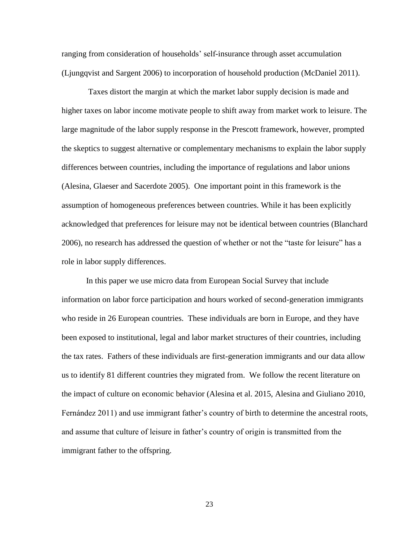ranging from consideration of households" self-insurance through asset accumulation (Ljungqvist and Sargent 2006) to incorporation of household production (McDaniel 2011).

Taxes distort the margin at which the market labor supply decision is made and higher taxes on labor income motivate people to shift away from market work to leisure. The large magnitude of the labor supply response in the Prescott framework, however, prompted the skeptics to suggest alternative or complementary mechanisms to explain the labor supply differences between countries, including the importance of regulations and labor unions (Alesina, Glaeser and Sacerdote 2005). One important point in this framework is the assumption of homogeneous preferences between countries. While it has been explicitly acknowledged that preferences for leisure may not be identical between countries (Blanchard 2006), no research has addressed the question of whether or not the "taste for leisure" has a role in labor supply differences.

In this paper we use micro data from European Social Survey that include information on labor force participation and hours worked of second-generation immigrants who reside in 26 European countries. These individuals are born in Europe, and they have been exposed to institutional, legal and labor market structures of their countries, including the tax rates. Fathers of these individuals are first-generation immigrants and our data allow us to identify 81 different countries they migrated from. We follow the recent literature on the impact of culture on economic behavior (Alesina et al. 2015, Alesina and Giuliano 2010, Fernández 2011) and use immigrant father's country of birth to determine the ancestral roots, and assume that culture of leisure in father"s country of origin is transmitted from the immigrant father to the offspring.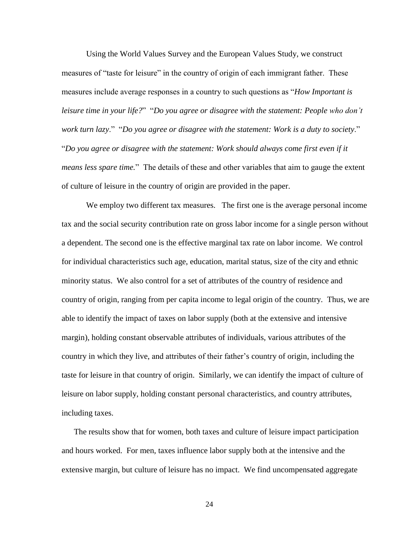Using the World Values Survey and the European Values Study, we construct measures of "taste for leisure" in the country of origin of each immigrant father. These measures include average responses in a country to such questions as "*How Important is leisure time in your life?*" "*Do you agree or disagree with the statement: People who don't work turn lazy*." "*Do you agree or disagree with the statement: Work is a duty to society*." "*Do you agree or disagree with the statement: Work should always come first even if it means less spare time.*" The details of these and other variables that aim to gauge the extent of culture of leisure in the country of origin are provided in the paper.

We employ two different tax measures. The first one is the average personal income tax and the social security contribution rate on gross labor income for a single person without a dependent. The second one is the effective marginal tax rate on labor income. We control for individual characteristics such age, education, marital status, size of the city and ethnic minority status. We also control for a set of attributes of the country of residence and country of origin, ranging from per capita income to legal origin of the country. Thus, we are able to identify the impact of taxes on labor supply (both at the extensive and intensive margin), holding constant observable attributes of individuals, various attributes of the country in which they live, and attributes of their father"s country of origin, including the taste for leisure in that country of origin. Similarly, we can identify the impact of culture of leisure on labor supply, holding constant personal characteristics, and country attributes, including taxes.

The results show that for women, both taxes and culture of leisure impact participation and hours worked. For men, taxes influence labor supply both at the intensive and the extensive margin, but culture of leisure has no impact. We find uncompensated aggregate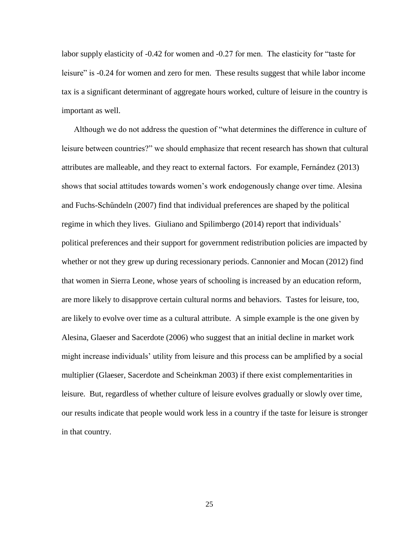labor supply elasticity of -0.42 for women and -0.27 for men. The elasticity for "taste for leisure" is -0.24 for women and zero for men. These results suggest that while labor income tax is a significant determinant of aggregate hours worked, culture of leisure in the country is important as well.

Although we do not address the question of "what determines the difference in culture of leisure between countries?" we should emphasize that recent research has shown that cultural attributes are malleable, and they react to external factors. For example, Fernández (2013) shows that social attitudes towards women"s work endogenously change over time. Alesina and Fuchs-Schűndeln (2007) find that individual preferences are shaped by the political regime in which they lives. Giuliano and Spilimbergo (2014) report that individuals' political preferences and their support for government redistribution policies are impacted by whether or not they grew up during recessionary periods. Cannonier and Mocan (2012) find that women in Sierra Leone, whose years of schooling is increased by an education reform, are more likely to disapprove certain cultural norms and behaviors. Tastes for leisure, too, are likely to evolve over time as a cultural attribute. A simple example is the one given by Alesina, Glaeser and Sacerdote (2006) who suggest that an initial decline in market work might increase individuals" utility from leisure and this process can be amplified by a social multiplier (Glaeser, Sacerdote and Scheinkman 2003) if there exist complementarities in leisure. But, regardless of whether culture of leisure evolves gradually or slowly over time, our results indicate that people would work less in a country if the taste for leisure is stronger in that country.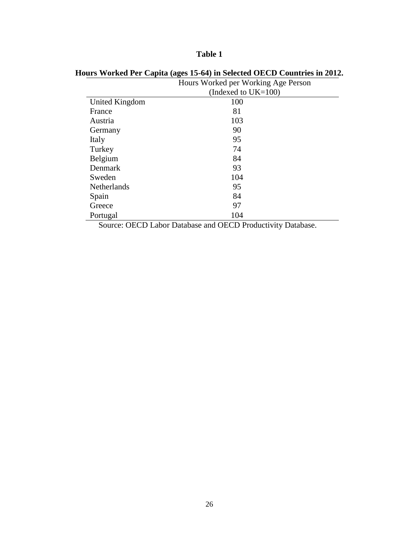|                    | Hours Worked per Working Age Person |
|--------------------|-------------------------------------|
|                    | (Indexed to $UK=100$ )              |
| United Kingdom     | 100                                 |
| France             | 81                                  |
| Austria            | 103                                 |
| Germany            | 90                                  |
| Italy              | 95                                  |
| Turkey             | 74                                  |
| Belgium            | 84                                  |
| Denmark            | 93                                  |
| Sweden             | 104                                 |
| <b>Netherlands</b> | 95                                  |
| Spain              | 84                                  |
| Greece             | 97                                  |
| Portugal           | 104                                 |

### **Hours Worked Per Capita (ages 15-64) in Selected OECD Countries in 2012.**

Source: OECD Labor Database and OECD Productivity Database.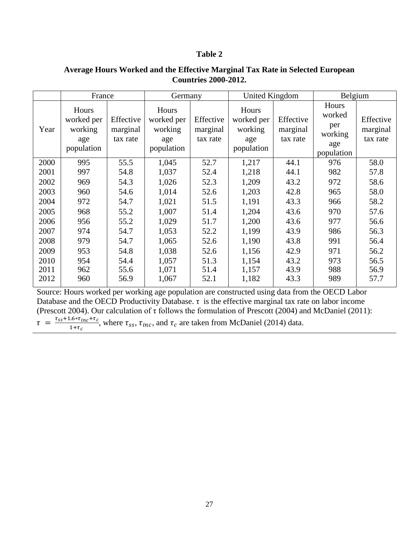| Average Hours Worked and the Effective Marginal Tax Rate in Selected European |
|-------------------------------------------------------------------------------|
| <b>Countries 2000-2012.</b>                                                   |

|      |                                                     | France                            |                                                     | Germany                           |                                                     | <b>United Kingdom</b>             | Belgium                                                |                                   |
|------|-----------------------------------------------------|-----------------------------------|-----------------------------------------------------|-----------------------------------|-----------------------------------------------------|-----------------------------------|--------------------------------------------------------|-----------------------------------|
| Year | Hours<br>worked per<br>working<br>age<br>population | Effective<br>marginal<br>tax rate | Hours<br>worked per<br>working<br>age<br>population | Effective<br>marginal<br>tax rate | Hours<br>worked per<br>working<br>age<br>population | Effective<br>marginal<br>tax rate | Hours<br>worked<br>per<br>working<br>age<br>population | Effective<br>marginal<br>tax rate |
| 2000 | 995                                                 | 55.5                              | 1,045                                               | 52.7                              | 1,217                                               | 44.1                              | 976                                                    | 58.0                              |
| 2001 | 997                                                 | 54.8                              | 1,037                                               | 52.4                              | 1,218                                               | 44.1                              | 982                                                    | 57.8                              |
| 2002 | 969                                                 | 54.3                              | 1,026                                               | 52.3                              | 1,209                                               | 43.2                              | 972                                                    | 58.6                              |
| 2003 | 960                                                 | 54.6                              | 1,014                                               | 52.6                              | 1,203                                               | 42.8                              | 965                                                    | 58.0                              |
| 2004 | 972                                                 | 54.7                              | 1,021                                               | 51.5                              | 1,191                                               | 43.3                              | 966                                                    | 58.2                              |
| 2005 | 968                                                 | 55.2                              | 1,007                                               | 51.4                              | 1,204                                               | 43.6                              | 970                                                    | 57.6                              |
| 2006 | 956                                                 | 55.2                              | 1,029                                               | 51.7                              | 1,200                                               | 43.6                              | 977                                                    | 56.6                              |
| 2007 | 974                                                 | 54.7                              | 1,053                                               | 52.2                              | 1,199                                               | 43.9                              | 986                                                    | 56.3                              |
| 2008 | 979                                                 | 54.7                              | 1,065                                               | 52.6                              | 1,190                                               | 43.8                              | 991                                                    | 56.4                              |
| 2009 | 953                                                 | 54.8                              | 1,038                                               | 52.6                              | 1,156                                               | 42.9                              | 971                                                    | 56.2                              |
| 2010 | 954                                                 | 54.4                              | 1,057                                               | 51.3                              | 1,154                                               | 43.2                              | 973                                                    | 56.5                              |
| 2011 | 962                                                 | 55.6                              | 1,071                                               | 51.4                              | 1,157                                               | 43.9                              | 988                                                    | 56.9                              |
| 2012 | 960                                                 | 56.9                              | 1,067                                               | 52.1                              | 1,182                                               | 43.3                              | 989                                                    | 57.7                              |

Source: Hours worked per working age population are constructed using data from the OECD Labor Database and the OECD Productivity Database.  $\tau$  is the effective marginal tax rate on labor income (Prescott 2004). Our calculation of  $\tau$  follows the formulation of Prescott (2004) and McDaniel (2011):  $\tau = \frac{\tau}{\tau}$  $\frac{1.6 * t_{inc} + t_c}{1 + \tau_c}$ , where  $\tau_{ss}$ ,  $\tau_{inc}$ , and  $\tau_c$  are taken from McDaniel (2014) data.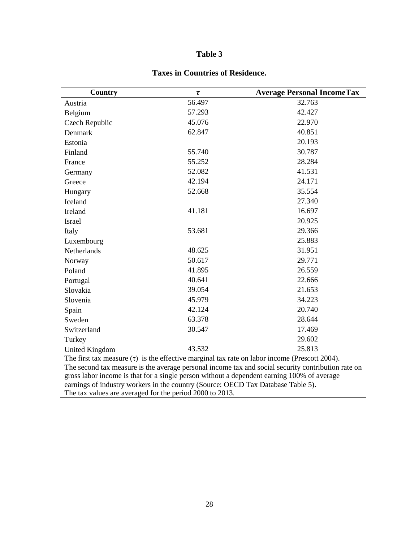| Country               | $\tau$ | <b>Average Personal IncomeTax</b>                                                                           |
|-----------------------|--------|-------------------------------------------------------------------------------------------------------------|
| Austria               | 56.497 | 32.763                                                                                                      |
| Belgium               | 57.293 | 42.427                                                                                                      |
| Czech Republic        | 45.076 | 22.970                                                                                                      |
| Denmark               | 62.847 | 40.851                                                                                                      |
| Estonia               |        | 20.193                                                                                                      |
| Finland               | 55.740 | 30.787                                                                                                      |
| France                | 55.252 | 28.284                                                                                                      |
| Germany               | 52.082 | 41.531                                                                                                      |
| Greece                | 42.194 | 24.171                                                                                                      |
| Hungary               | 52.668 | 35.554                                                                                                      |
| Iceland               |        | 27.340                                                                                                      |
| Ireland               | 41.181 | 16.697                                                                                                      |
| <b>Israel</b>         |        | 20.925                                                                                                      |
| Italy                 | 53.681 | 29.366                                                                                                      |
| Luxembourg            |        | 25.883                                                                                                      |
| Netherlands           | 48.625 | 31.951                                                                                                      |
| Norway                | 50.617 | 29.771                                                                                                      |
| Poland                | 41.895 | 26.559                                                                                                      |
| Portugal              | 40.641 | 22.666                                                                                                      |
| Slovakia              | 39.054 | 21.653                                                                                                      |
| Slovenia              | 45.979 | 34.223                                                                                                      |
| Spain                 | 42.124 | 20.740                                                                                                      |
| Sweden                | 63.378 | 28.644                                                                                                      |
| Switzerland           | 30.547 | 17.469                                                                                                      |
| Turkey                |        | 29.602                                                                                                      |
| <b>United Kingdom</b> | 43.532 | 25.813<br>The first toy measure $(\tau)$ is the effective mercinal toy rate on labor income (Prescott 2004) |

### **Taxes in Countries of Residence.**

The first tax measure (τ) is the effective marginal tax rate on labor income (Prescott 2004). The second tax measure is the average personal income tax and social security contribution rate on gross labor income is that for a single person without a dependent earning 100% of average earnings of industry workers in the country (Source: OECD Tax Database Table 5). The tax values are averaged for the period 2000 to 2013.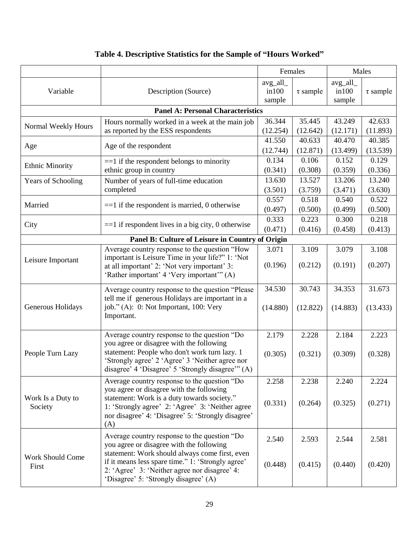|                                  |                                                                                                                                                                                                                                                                                           | Females            |                    | Males                        |                    |
|----------------------------------|-------------------------------------------------------------------------------------------------------------------------------------------------------------------------------------------------------------------------------------------------------------------------------------------|--------------------|--------------------|------------------------------|--------------------|
| Variable                         | Description (Source)                                                                                                                                                                                                                                                                      |                    | $\tau$ sample      | avg_all_<br>in 100<br>sample | $\tau$ sample      |
|                                  | <b>Panel A: Personal Characteristics</b>                                                                                                                                                                                                                                                  |                    |                    |                              |                    |
| Normal Weekly Hours              | Hours normally worked in a week at the main job<br>as reported by the ESS respondents                                                                                                                                                                                                     | 36.344<br>(12.254) | 35.445<br>(12.642) | 43.249<br>(12.171)           | 42.633<br>(11.893) |
| Age                              | Age of the respondent                                                                                                                                                                                                                                                                     | 41.550<br>(12.744) | 40.633<br>(12.871) | 40.470<br>(13.499)           | 40.385<br>(13.539) |
| <b>Ethnic Minority</b>           | $==1$ if the respondent belongs to minority<br>ethnic group in country                                                                                                                                                                                                                    | 0.134<br>(0.341)   | 0.106<br>(0.308)   | 0.152<br>(0.359)             | 0.129<br>(0.336)   |
| <b>Years of Schooling</b>        | Number of years of full-time education<br>completed                                                                                                                                                                                                                                       | 13.630<br>(3.501)  | 13.527<br>(3.759)  | 13.206<br>(3.471)            | 13.240<br>(3.630)  |
| Married                          | $==1$ if the respondent is married, 0 otherwise                                                                                                                                                                                                                                           | 0.557<br>(0.497)   | 0.518<br>(0.500)   | 0.540<br>(0.499)             | 0.522<br>(0.500)   |
| City                             | $==1$ if respondent lives in a big city, 0 otherwise                                                                                                                                                                                                                                      | 0.333<br>(0.471)   | 0.223<br>(0.416)   | 0.300<br>(0.458)             | 0.218<br>(0.413)   |
|                                  | Panel B: Culture of Leisure in Country of Origin                                                                                                                                                                                                                                          |                    |                    |                              |                    |
| Leisure Important                | Average country response to the question "How<br>important is Leisure Time in your life?" 1: 'Not<br>at all important' 2: 'Not very important' 3:<br>'Rather important' 4 'Very important'" (A)                                                                                           | 3.071<br>(0.196)   | 3.109<br>(0.212)   | 3.079<br>(0.191)             | 3.108<br>(0.207)   |
| Generous Holidays                | Average country response to the question "Please"<br>tell me if generous Holidays are important in a<br>job." (A): 0: Not Important, 100: Very<br>Important.                                                                                                                              | 34.530<br>(14.880) | 30.743<br>(12.822) | 34.353<br>(14.883)           | 31.673<br>(13.433) |
| People Turn Lazy                 | Average country response to the question "Do<br>you agree or disagree with the following<br>statement: People who don't work turn lazy. 1<br>'Strongly agree' 2 'Agree' 3 'Neither agree nor<br>disagree' 4 'Disagree' 5 'Strongly disagree'" (A)                                         | 2.179<br>(0.305)   | 2.228<br>(0.321)   | 2.184<br>(0.309)             | 2.223<br>(0.328)   |
| Work Is a Duty to<br>Society     | Average country response to the question "Do<br>you agree or disagree with the following<br>statement: Work is a duty towards society."<br>1: 'Strongly agree' 2: 'Agree' 3: 'Neither agree<br>nor disagree' 4: 'Disagree' 5: 'Strongly disagree'<br>(A)                                  | 2.258<br>(0.331)   | 2.238<br>(0.264)   | 2.240<br>(0.325)             | 2.224<br>(0.271)   |
| <b>Work Should Come</b><br>First | Average country response to the question "Do<br>you agree or disagree with the following<br>statement: Work should always come first, even<br>if it means less spare time." 1: 'Strongly agree'<br>2: 'Agree' 3: 'Neither agree nor disagree' 4:<br>'Disagree' 5: 'Strongly disagree' (A) | 2.540<br>(0.448)   | 2.593<br>(0.415)   | 2.544<br>(0.440)             | 2.581<br>(0.420)   |

## **Table 4. Descriptive Statistics for the Sample of "Hours Worked"**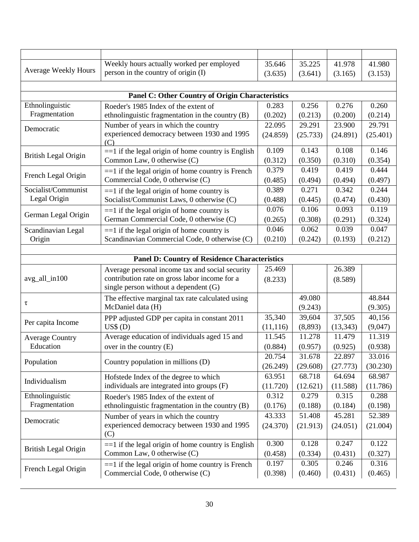| <b>Average Weekly Hours</b> | Weekly hours actually worked per employed                                              | 35.646    | 35.225   | 41.978    | 41.980   |
|-----------------------------|----------------------------------------------------------------------------------------|-----------|----------|-----------|----------|
|                             | person in the country of origin (I)                                                    | (3.635)   | (3.641)  | (3.165)   | (3.153)  |
|                             |                                                                                        |           |          |           |          |
|                             | <b>Panel C: Other Country of Origin Characteristics</b>                                |           |          |           |          |
| Ethnolinguistic             | Roeder's 1985 Index of the extent of                                                   | 0.283     | 0.256    | 0.276     | 0.260    |
| Fragmentation               | ethnolinguistic fragmentation in the country (B)                                       | (0.202)   | (0.213)  | (0.200)   | (0.214)  |
| Democratic                  | Number of years in which the country                                                   | 22.095    | 29.291   | 23.900    | 29.791   |
|                             | experienced democracy between 1930 and 1995<br>(C)                                     | (24.859)  | (25.733) | (24.891)  | (25.401) |
| <b>British Legal Origin</b> | $==1$ if the legal origin of home country is English                                   | 0.109     | 0.143    | 0.108     | 0.146    |
|                             | Common Law, 0 otherwise (C)                                                            | (0.312)   | (0.350)  | (0.310)   | (0.354)  |
| French Legal Origin         | $==1$ if the legal origin of home country is French                                    | 0.379     | 0.419    | 0.419     | 0.444    |
|                             | Commercial Code, 0 otherwise (C)                                                       | (0.485)   | (0.494)  | (0.494)   | (0.497)  |
| Socialist/Communist         | $==1$ if the legal origin of home country is                                           | 0.389     | 0.271    | 0.342     | 0.244    |
| Legal Origin                | Socialist/Communist Laws, 0 otherwise (C)                                              | (0.488)   | (0.445)  | (0.474)   | (0.430)  |
| German Legal Origin         | $==1$ if the legal origin of home country is                                           | 0.076     | 0.106    | 0.093     | 0.119    |
|                             | German Commercial Code, 0 otherwise (C)                                                | (0.265)   | (0.308)  | (0.291)   | (0.324)  |
| Scandinavian Legal          | $==1$ if the legal origin of home country is                                           | 0.046     | 0.062    | 0.039     | 0.047    |
| Origin                      | Scandinavian Commercial Code, 0 otherwise (C)                                          | (0.210)   | (0.242)  | (0.193)   | (0.212)  |
|                             |                                                                                        |           |          |           |          |
|                             | <b>Panel D: Country of Residence Characteristics</b>                                   |           |          |           |          |
|                             | Average personal income tax and social security                                        | 25.469    |          | 26.389    |          |
| avg_all_in100               | contribution rate on gross labor income for a<br>single person without a dependent (G) | (8.233)   |          | (8.589)   |          |
|                             | The effective marginal tax rate calculated using                                       |           | 49.080   |           | 48.844   |
| τ                           | McDaniel data (H)                                                                      |           | (9.243)  |           | (9.305)  |
|                             | PPP adjusted GDP per capita in constant 2011                                           | 35,340    | 39,604   | 37,505    | 40,156   |
| Per capita Income           | US\$(D)                                                                                | (11, 116) | (8,893)  | (13, 343) | (9,047)  |
| <b>Average Country</b>      | Average education of individuals aged 15 and                                           | 11.545    | 11.278   | 11.479    | 11.319   |
| Education                   | over in the country $(E)$                                                              | (0.884)   | (0.957)  | (0.925)   | (0.938)  |
|                             |                                                                                        | 20.754    | 31.678   | 22.897    | 33.016   |
| Population                  | Country population in millions (D)                                                     | (26.249)  | (29.608) | (27.773)  | (30.230) |
|                             | Hofstede Index of the degree to which                                                  | 63.951    | 68.718   | 64.694    | 68.987   |
| Individualism               | individuals are integrated into groups (F)                                             | (11.720)  | (12.621) | (11.588)  | (11.786) |
| Ethnolinguistic             | Roeder's 1985 Index of the extent of                                                   | 0.312     | 0.279    | 0.315     | 0.288    |
| Fragmentation               | ethnolinguistic fragmentation in the country (B)                                       | (0.176)   | (0.188)  | (0.184)   | (0.198)  |
|                             | Number of years in which the country                                                   | 43.333    | 51.408   | 45.281    | 52.389   |
| Democratic                  | experienced democracy between 1930 and 1995<br>(C)                                     | (24.370)  | (21.913) | (24.051)  | (21.004) |
|                             | $==1$ if the legal origin of home country is English                                   | 0.300     | 0.128    | 0.247     | 0.122    |
| British Legal Origin        | Common Law, 0 otherwise (C)                                                            | (0.458)   | (0.334)  | (0.431)   | (0.327)  |
|                             | $==1$ if the legal origin of home country is French                                    | 0.197     | 0.305    | 0.246     | 0.316    |
| French Legal Origin         | Commercial Code, 0 otherwise (C)                                                       | (0.398)   | (0.460)  | (0.431)   | (0.465)  |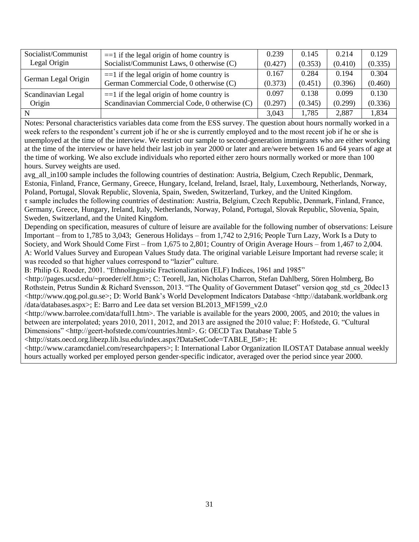| Socialist/Communist | $==1$ if the legal origin of home country is  | 0.239   | 0.145   | 0.214   | 0.129   |
|---------------------|-----------------------------------------------|---------|---------|---------|---------|
| Legal Origin        | Socialist/Communist Laws, 0 otherwise (C)     |         | (0.353) | (0.410) | (0.335) |
| German Legal Origin | $==1$ if the legal origin of home country is  | 0.167   | 0.284   | 0.194   | 0.304   |
|                     | German Commercial Code, 0 otherwise (C)       | (0.373) | (0.451) | (0.396) | (0.460) |
| Scandinavian Legal  | $==1$ if the legal origin of home country is  | 0.097   | 0.138   | 0.099   | 0.130   |
| Origin              | Scandinavian Commercial Code, 0 otherwise (C) | (0.297) | (0.345) | (0.299) | (0.336) |
|                     |                                               | 3,043   | 1,785   | 2,887   | 1,834   |

Notes: Personal characteristics variables data come from the ESS survey. The question about hours normally worked in a week refers to the respondent's current job if he or she is currently employed and to the most recent job if he or she is unemployed at the time of the interview. We restrict our sample to second-generation immigrants who are either working at the time of the interview or have held their last job in year 2000 or later and are/were between 16 and 64 years of age at the time of working. We also exclude individuals who reported either zero hours normally worked or more than 100 hours. Survey weights are used.

avg all in100 sample includes the following countries of destination: Austria, Belgium, Czech Republic, Denmark, Estonia, Finland, France, Germany, Greece, Hungary, Iceland, Ireland, Israel, Italy, Luxembourg, Netherlands, Norway, Poland, Portugal, Slovak Republic, Slovenia, Spain, Sweden, Switzerland, Turkey, and the United Kingdom. τ sample includes the following countries of destination: Austria, Belgium, Czech Republic, Denmark, Finland, France, Germany, Greece, Hungary, Ireland, Italy, Netherlands, Norway, Poland, Portugal, Slovak Republic, Slovenia, Spain, Sweden, Switzerland, and the United Kingdom.

Depending on specification, measures of culture of leisure are available for the following number of observations: Leisure Important – from to 1,785 to 3,043; Generous Holidays – from 1,742 to 2,916; People Turn Lazy, Work Is a Duty to Society, and Work Should Come First – from 1,675 to 2,801; Country of Origin Average Hours – from 1,467 to 2,004. A: World Values Survey and European Values Study data. The original variable Leisure Important had reverse scale; it was recoded so that higher values correspond to "lazier" culture.

B: Philip G. Roeder, 2001. "Ethnolinguistic Fractionalization (ELF) Indices, 1961 and 1985"

<http://pages.ucsd.edu/~proeder/elf.htm>; C: Teorell, Jan, Nicholas Charron, Stefan Dahlberg, Sören Holmberg, Bo Rothstein, Petrus Sundin & Richard Svensson, 2013. "The Quality of Government Dataset" version qog std cs 20dec13 <http://www.qog.pol.gu.se>; D: World Bank"s World Development Indicators Database <http://databank.worldbank.org /data/databases.aspx>; E: Barro and Lee data set version BL2013\_MF1599\_v2.0

<http://www.barrolee.com/data/full1.htm>. The variable is available for the years 2000, 2005, and 2010; the values in between are interpolated; years 2010, 2011, 2012, and 2013 are assigned the 2010 value; F: Hofstede, G. "Cultural Dimensions" <http://geert-hofstede.com/countries.html>. G: OECD Tax Database Table 5

<http://stats.oecd.org.libezp.lib.lsu.edu/index.aspx?DataSetCode=TABLE\_I5#>; H:

<http://www.caramcdaniel.com/researchpapers>; I: International Labor Organization ILOSTAT Database annual weekly hours actually worked per employed person gender-specific indicator, averaged over the period since year 2000.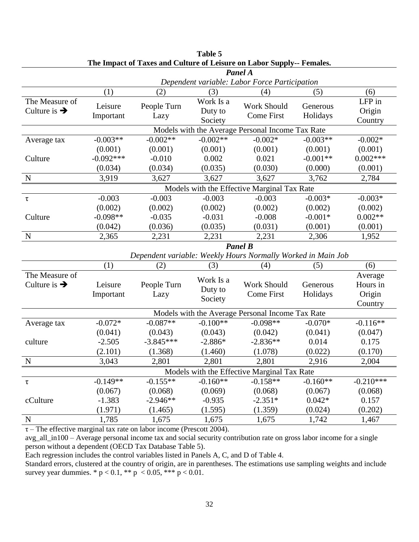| The impact of Taxes and Canare of Ecisare on Easof Supply<br>Panel A |                                                  |                     |                                 |                                                              |                      |                                          |
|----------------------------------------------------------------------|--------------------------------------------------|---------------------|---------------------------------|--------------------------------------------------------------|----------------------|------------------------------------------|
|                                                                      |                                                  |                     |                                 | Dependent variable: Labor Force Participation                |                      |                                          |
|                                                                      | (1)                                              | (2)                 | (3)                             | (4)                                                          | (5)                  | (6)                                      |
| The Measure of<br>Culture is $\rightarrow$                           | Leisure<br>Important                             | People Turn<br>Lazy | Work Is a<br>Duty to<br>Society | Work Should<br><b>Come First</b>                             | Generous<br>Holidays | LFP in<br>Origin<br>Country              |
|                                                                      | Models with the Average Personal Income Tax Rate |                     |                                 |                                                              |                      |                                          |
| Average tax                                                          | $-0.003**$                                       | $-0.002**$          | $-0.002**$                      | $-0.002*$                                                    | $-0.003**$           | $-0.002*$                                |
|                                                                      | (0.001)                                          | (0.001)             | (0.001)                         | (0.001)                                                      | (0.001)              | (0.001)                                  |
| Culture                                                              | $-0.092***$                                      | $-0.010$            | 0.002                           | 0.021                                                        | $-0.001**$           | $0.002***$                               |
|                                                                      | (0.034)                                          | (0.034)             | (0.035)                         | (0.030)                                                      | (0.000)              | (0.001)                                  |
| N                                                                    | 3,919                                            | 3,627               | 3,627                           | 3,627                                                        | 3,762                | 2,784                                    |
|                                                                      |                                                  |                     |                                 | Models with the Effective Marginal Tax Rate                  |                      |                                          |
| τ                                                                    | $-0.003$                                         | $-0.003$            | $-0.003$                        | $-0.003$                                                     | $-0.003*$            | $-0.003*$                                |
|                                                                      | (0.002)                                          | (0.002)             | (0.002)                         | (0.002)                                                      | (0.002)              | (0.002)                                  |
| Culture                                                              | $-0.098**$                                       | $-0.035$            | $-0.031$                        | $-0.008$                                                     | $-0.001*$            | $0.002**$                                |
|                                                                      | (0.042)                                          | (0.036)             | (0.035)                         | (0.031)                                                      | (0.001)              | (0.001)                                  |
| $\mathbf N$                                                          | 2,365                                            | 2,231               | 2,231                           | 2,231                                                        | 2,306                | 1,952                                    |
|                                                                      |                                                  |                     |                                 | <b>Panel B</b>                                               |                      |                                          |
|                                                                      |                                                  |                     |                                 | Dependent variable: Weekly Hours Normally Worked in Main Job |                      |                                          |
|                                                                      | (1)                                              | (2)                 | (3)                             | (4)                                                          | (5)                  | (6)                                      |
| The Measure of<br>Culture is $\rightarrow$                           | Leisure<br>Important                             | People Turn<br>Lazy | Work Is a<br>Duty to<br>Society | Work Should<br><b>Come First</b>                             | Generous<br>Holidays | Average<br>Hours in<br>Origin<br>Country |
|                                                                      |                                                  |                     |                                 | Models with the Average Personal Income Tax Rate             |                      |                                          |
| Average tax                                                          | $-0.072*$                                        | $-0.087**$          | $-0.100**$                      | $-0.098**$                                                   | $-0.070*$            | $-0.116**$                               |
|                                                                      | (0.041)                                          | (0.043)             | (0.043)                         | (0.042)                                                      | (0.041)              | (0.047)                                  |
| culture                                                              | $-2.505$                                         | $-3.845***$         | $-2.886*$                       | $-2.836**$                                                   | 0.014                | 0.175                                    |
|                                                                      | (2.101)                                          | (1.368)             | (1.460)                         | (1.078)                                                      | (0.022)              | (0.170)                                  |
| $\mathbf N$                                                          | 3,043                                            | 2,801               | 2,801                           | 2,801                                                        | 2,916                | 2,004                                    |
|                                                                      |                                                  |                     |                                 | Models with the Effective Marginal Tax Rate                  |                      |                                          |
| $\tau$                                                               | $-0.149**$                                       | $-0.155**$          | $-0.160**$                      | $-0.158**$                                                   | $-0.160**$           | $-0.210***$                              |
|                                                                      | (0.067)                                          | (0.068)             | (0.069)                         | (0.068)                                                      | (0.067)              | (0.068)                                  |
| cCulture                                                             | $-1.383$                                         | $-2.946**$          | $-0.935$                        | $-2.351*$                                                    | $0.042*$             | 0.157                                    |
|                                                                      | (1.971)                                          | (1.465)             | (1.595)                         | (1.359)                                                      | (0.024)              | (0.202)                                  |
| N                                                                    | 1,785                                            | 1,675               | 1,675                           | 1,675                                                        | 1,742                | 1,467                                    |

| Table 5                                                               |
|-----------------------------------------------------------------------|
| The Impact of Taxes and Culture of Leisure on Labor Supply-- Females. |

 $\tau$  – The effective marginal tax rate on labor income (Prescott 2004).

avg\_all\_in100 – Average personal income tax and social security contribution rate on gross labor income for a single person without a dependent (OECD Tax Database Table 5).

Each regression includes the control variables listed in Panels A, C, and D of Table 4.

Standard errors, clustered at the country of origin, are in parentheses. The estimations use sampling weights and include survey year dummies. \*  $p < 0.1$ , \*\*  $p < 0.05$ , \*\*\*  $p < 0.01$ .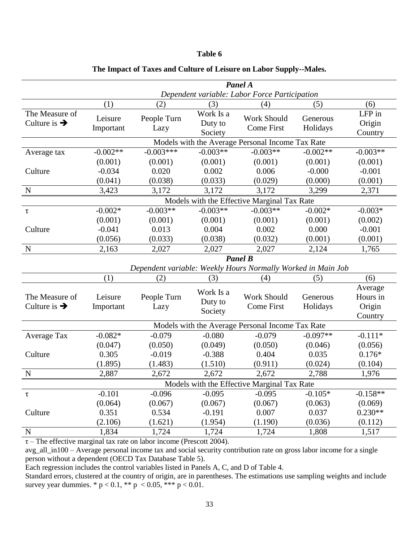|                                            | Panel A                                     |                                                  |                                 |                                                              |                      |                                          |  |
|--------------------------------------------|---------------------------------------------|--------------------------------------------------|---------------------------------|--------------------------------------------------------------|----------------------|------------------------------------------|--|
|                                            |                                             |                                                  |                                 | Dependent variable: Labor Force Participation                |                      |                                          |  |
|                                            | (1)                                         | (2)                                              | (3)                             | (4)                                                          | (5)                  | (6)                                      |  |
| The Measure of<br>Culture is $\rightarrow$ | Leisure<br>Important                        | People Turn<br>Lazy                              | Work Is a<br>Duty to<br>Society | Work Should<br><b>Come First</b>                             | Generous<br>Holidays | LFP in<br>Origin<br>Country              |  |
|                                            |                                             | Models with the Average Personal Income Tax Rate |                                 |                                                              |                      |                                          |  |
| Average tax                                | $-0.002**$                                  | $-0.003***$                                      | $-0.003**$                      | $-0.003**$                                                   | $-0.002**$           | $-0.003**$                               |  |
|                                            | (0.001)                                     | (0.001)                                          | (0.001)                         | (0.001)                                                      | (0.001)              | (0.001)                                  |  |
| Culture                                    | $-0.034$                                    | 0.020                                            | 0.002                           | 0.006                                                        | $-0.000$             | $-0.001$                                 |  |
|                                            | (0.041)                                     | (0.038)                                          | (0.033)                         | (0.029)                                                      | (0.000)              | (0.001)                                  |  |
| $\mathbf N$                                | 3,423                                       | 3,172                                            | 3,172                           | 3,172                                                        | 3,299                | 2,371                                    |  |
|                                            | Models with the Effective Marginal Tax Rate |                                                  |                                 |                                                              |                      |                                          |  |
| $\tau$                                     | $-0.002*$                                   | $-0.003**$                                       | $-0.003**$                      | $-0.003**$                                                   | $-0.002*$            | $-0.003*$                                |  |
|                                            | (0.001)                                     | (0.001)                                          | (0.001)                         | (0.001)                                                      | (0.001)              | (0.002)                                  |  |
| Culture                                    | $-0.041$                                    | 0.013                                            | 0.004                           | 0.002                                                        | 0.000                | $-0.001$                                 |  |
|                                            | (0.056)                                     | (0.033)                                          | (0.038)                         | (0.032)                                                      | (0.001)              | (0.001)                                  |  |
| $\mathbf N$                                | 2,163                                       | 2,027                                            | 2,027                           | 2,027                                                        | 2,124                | 1,765                                    |  |
|                                            |                                             |                                                  |                                 | <b>Panel B</b>                                               |                      |                                          |  |
|                                            |                                             |                                                  |                                 | Dependent variable: Weekly Hours Normally Worked in Main Job |                      |                                          |  |
|                                            | (1)                                         | (2)                                              | (3)                             | (4)                                                          | (5)                  | (6)                                      |  |
| The Measure of<br>Culture is $\rightarrow$ | Leisure<br>Important                        | People Turn<br>Lazy                              | Work Is a<br>Duty to<br>Society | <b>Work Should</b><br><b>Come First</b>                      | Generous<br>Holidays | Average<br>Hours in<br>Origin<br>Country |  |
|                                            |                                             |                                                  |                                 | Models with the Average Personal Income Tax Rate             |                      |                                          |  |
| Average Tax                                | $-0.082*$                                   | $-0.079$                                         | $-0.080$                        | $-0.079$                                                     | $-0.097**$           | $-0.111*$                                |  |
|                                            | (0.047)                                     | (0.050)                                          | (0.049)                         | (0.050)                                                      | (0.046)              | (0.056)                                  |  |
| Culture                                    | 0.305                                       | $-0.019$                                         | $-0.388$                        | 0.404                                                        | 0.035                | $0.176*$                                 |  |
|                                            | (1.895)                                     | (1.483)                                          | (1.510)                         | (0.911)                                                      | (0.024)              | (0.104)                                  |  |
| $\mathbf N$                                | 2,887                                       | 2,672                                            | 2,672                           | 2,672                                                        | 2,788                | 1,976                                    |  |
|                                            |                                             |                                                  |                                 | Models with the Effective Marginal Tax Rate                  |                      |                                          |  |
| $\tau$                                     | $-0.101$                                    | $-0.096$                                         | $-0.095$                        | $-0.095$                                                     | $-0.105*$            | $-0.158**$                               |  |
|                                            | (0.064)                                     | (0.067)                                          | (0.067)                         | (0.067)                                                      | (0.063)              | (0.069)                                  |  |
| Culture                                    | 0.351                                       | 0.534                                            | $-0.191$                        | 0.007                                                        | 0.037                | $0.230**$                                |  |
|                                            | (2.106)                                     | (1.621)                                          | (1.954)                         | (1.190)                                                      | (0.036)              | (0.112)                                  |  |
| N                                          | 1,834                                       | 1,724                                            | 1,724                           | 1,724                                                        | 1,808                | 1,517                                    |  |

### **The Impact of Taxes and Culture of Leisure on Labor Supply--Males.**

 $\tau$  – The effective marginal tax rate on labor income (Prescott 2004).

avg\_all\_in100 – Average personal income tax and social security contribution rate on gross labor income for a single person without a dependent (OECD Tax Database Table 5).

Each regression includes the control variables listed in Panels A, C, and D of Table 4.

Standard errors, clustered at the country of origin, are in parentheses. The estimations use sampling weights and include survey year dummies. \*  $p < 0.1$ , \*\*  $p < 0.05$ , \*\*\*  $p < 0.01$ .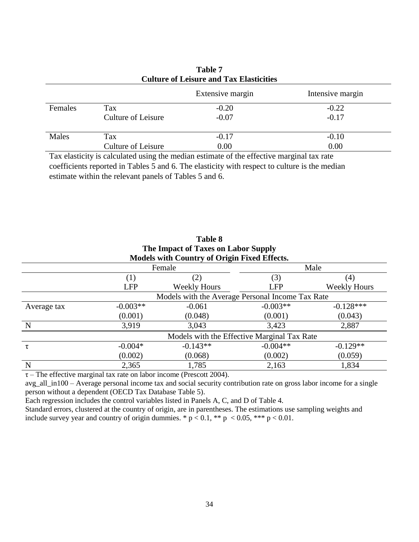|         |                    | Extensive margin | Intensive margin |
|---------|--------------------|------------------|------------------|
| Females | Tax                | $-0.20$          | $-0.22$          |
|         | Culture of Leisure | $-0.07$          | $-0.17$          |
| Males   | Tax                | $-0.17$          | $-0.10$          |
|         | Culture of Leisure | 0.00             | 0.00             |

### **Table 7 Culture of Leisure and Tax Elasticities**

Tax elasticity is calculated using the median estimate of the effective marginal tax rate coefficients reported in Tables 5 and 6. The elasticity with respect to culture is the median estimate within the relevant panels of Tables 5 and 6.

|                                                  | The Impact of Taxes on Labor Supply         |                                                     |            |                     |  |  |  |
|--------------------------------------------------|---------------------------------------------|-----------------------------------------------------|------------|---------------------|--|--|--|
|                                                  |                                             | <b>Models with Country of Origin Fixed Effects.</b> |            |                     |  |  |  |
|                                                  |                                             | Female                                              |            | Male                |  |  |  |
|                                                  | $\left(1\right)$                            | (2)                                                 | (3)        | (4)                 |  |  |  |
|                                                  | <b>LFP</b>                                  | <b>Weekly Hours</b>                                 | <b>LFP</b> | <b>Weekly Hours</b> |  |  |  |
| Models with the Average Personal Income Tax Rate |                                             |                                                     |            |                     |  |  |  |
| Average tax                                      | $-0.003**$                                  | $-0.061$                                            | $-0.003**$ | $-0.128***$         |  |  |  |
|                                                  | (0.001)                                     | (0.048)                                             | (0.001)    | (0.043)             |  |  |  |
| N                                                | 3,919                                       | 3,043                                               | 3,423      | 2,887               |  |  |  |
|                                                  | Models with the Effective Marginal Tax Rate |                                                     |            |                     |  |  |  |
| τ                                                | $-0.004*$                                   | $-0.143**$                                          | $-0.004**$ | $-0.129**$          |  |  |  |
|                                                  | (0.002)                                     | (0.068)                                             | (0.002)    | (0.059)             |  |  |  |
| N                                                | 2,365                                       | 1,785                                               | 2,163      | 1,834               |  |  |  |

**Table 8**

 $\tau$  – The effective marginal tax rate on labor income (Prescott 2004).

avg\_all\_in100 – Average personal income tax and social security contribution rate on gross labor income for a single person without a dependent (OECD Tax Database Table 5).

Each regression includes the control variables listed in Panels A, C, and D of Table 4.

Standard errors, clustered at the country of origin, are in parentheses. The estimations use sampling weights and include survey year and country of origin dummies. \*  $p < 0.1$ , \*\*  $p < 0.05$ , \*\*\*  $p < 0.01$ .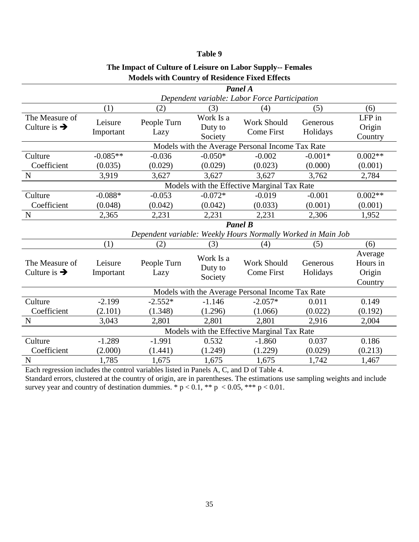| Panel A                                    |                                                  |                     |                                 |                                                              |                      |                                          |  |  |
|--------------------------------------------|--------------------------------------------------|---------------------|---------------------------------|--------------------------------------------------------------|----------------------|------------------------------------------|--|--|
|                                            |                                                  |                     |                                 | Dependent variable: Labor Force Participation                |                      |                                          |  |  |
|                                            | (1)                                              | (2)                 | (3)                             | (4)                                                          | (5)                  | (6)                                      |  |  |
| The Measure of<br>Culture is $\rightarrow$ | Leisure<br>Important                             | People Turn<br>Lazy | Work Is a<br>Duty to<br>Society | <b>Work Should</b><br><b>Come First</b>                      | Generous<br>Holidays | LFP in<br>Origin<br>Country              |  |  |
|                                            | Models with the Average Personal Income Tax Rate |                     |                                 |                                                              |                      |                                          |  |  |
| Culture                                    | $-0.085**$                                       | $-0.036$            | $-0.050*$                       | $-0.002$                                                     | $-0.001*$            | $0.002**$                                |  |  |
| Coefficient                                | (0.035)                                          | (0.029)             | (0.029)                         | (0.023)                                                      | (0.000)              | (0.001)                                  |  |  |
| $\mathbf N$                                | 3,919                                            | 3,627               | 3,627                           | 3,627                                                        | 3,762                | 2,784                                    |  |  |
|                                            | Models with the Effective Marginal Tax Rate      |                     |                                 |                                                              |                      |                                          |  |  |
| Culture                                    | $-0.088*$                                        | $-0.053$            | $-0.072*$                       | $-0.019$                                                     | $-0.001$             | $0.002**$                                |  |  |
| Coefficient                                | (0.048)                                          | (0.042)             | (0.042)                         | (0.033)                                                      | (0.001)              | (0.001)                                  |  |  |
| $\mathbf N$                                | 2,365                                            | 2,231               | 2,231                           | 2,231                                                        | 2,306                | 1,952                                    |  |  |
|                                            | <b>Panel B</b>                                   |                     |                                 |                                                              |                      |                                          |  |  |
|                                            |                                                  |                     |                                 | Dependent variable: Weekly Hours Normally Worked in Main Job |                      |                                          |  |  |
|                                            | (1)                                              | (2)                 | (3)                             | (4)                                                          | (5)                  | (6)                                      |  |  |
| The Measure of<br>Culture is $\rightarrow$ | Leisure<br>Important                             | People Turn<br>Lazy | Work Is a<br>Duty to<br>Society | Work Should<br><b>Come First</b>                             | Generous<br>Holidays | Average<br>Hours in<br>Origin<br>Country |  |  |
|                                            |                                                  |                     |                                 | Models with the Average Personal Income Tax Rate             |                      |                                          |  |  |
| Culture                                    | $-2.199$                                         | $-2.552*$           | $-1.146$                        | $-2.057*$                                                    | 0.011                | 0.149                                    |  |  |
| Coefficient                                | (2.101)                                          | (1.348)             | (1.296)                         | (1.066)                                                      | (0.022)              | (0.192)                                  |  |  |
| $\mathbf N$                                | 3,043                                            | 2,801               | 2,801                           | 2,801                                                        | 2,916                | 2,004                                    |  |  |
|                                            |                                                  |                     |                                 | Models with the Effective Marginal Tax Rate                  |                      |                                          |  |  |
| Culture                                    | $-1.289$                                         | $-1.991$            | 0.532                           | $-1.860$                                                     | 0.037                | 0.186                                    |  |  |
| Coefficient                                | (2.000)                                          | (1.441)             | (1.249)                         | (1.229)                                                      | (0.029)              | (0.213)                                  |  |  |
| $\mathbf N$                                | 1,785                                            | 1,675               | 1,675                           | 1,675                                                        | 1,742                | 1,467                                    |  |  |

### **The Impact of Culture of Leisure on Labor Supply-- Females Models with Country of Residence Fixed Effects**

Each regression includes the control variables listed in Panels A, C, and D of Table 4.

Standard errors, clustered at the country of origin, are in parentheses. The estimations use sampling weights and include survey year and country of destination dummies. \*  $p < 0.1$ , \*\*  $p < 0.05$ , \*\*\*  $p < 0.01$ .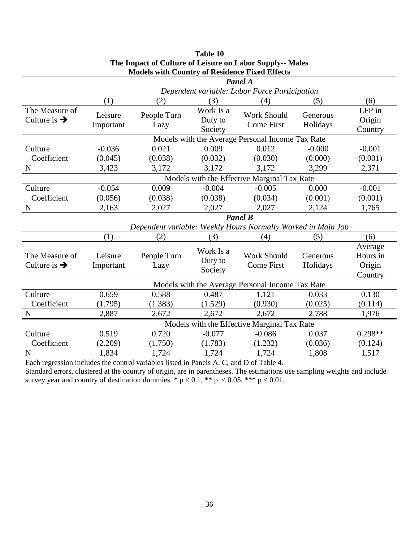|                          |                                             | Models with Country of Keshtenee Place Effects |           |                                                              |          |           |  |
|--------------------------|---------------------------------------------|------------------------------------------------|-----------|--------------------------------------------------------------|----------|-----------|--|
|                          | Panel A                                     |                                                |           |                                                              |          |           |  |
|                          |                                             |                                                |           | Dependent variable: Labor Force Participation                |          |           |  |
|                          | (1)                                         | (2)                                            | (3)       | (4)                                                          | (5)      | (6)       |  |
| The Measure of           | Leisure                                     | People Turn                                    | Work Is a | <b>Work Should</b>                                           | Generous | LFP in    |  |
| Culture is $\rightarrow$ | Important                                   | Lazy                                           | Duty to   | <b>Come First</b>                                            | Holidays | Origin    |  |
|                          |                                             |                                                | Society   |                                                              |          | Country   |  |
|                          |                                             |                                                |           | Models with the Average Personal Income Tax Rate             |          |           |  |
| Culture                  | $-0.036$                                    | 0.021                                          | 0.009     | 0.012                                                        | $-0.000$ | $-0.001$  |  |
| Coefficient              | (0.045)                                     | (0.038)                                        | (0.032)   | (0.030)                                                      | (0.000)  | (0.001)   |  |
| $\mathbf N$              | 3,423                                       | 3,172                                          | 3,172     | 3,172                                                        | 3,299    | 2,371     |  |
|                          | Models with the Effective Marginal Tax Rate |                                                |           |                                                              |          |           |  |
| Culture                  | $-0.054$                                    | 0.009                                          | $-0.004$  | $-0.005$                                                     | 0.000    | $-0.001$  |  |
| Coefficient              | (0.056)                                     | (0.038)                                        | (0.038)   | (0.034)                                                      | (0.001)  | (0.001)   |  |
| $\mathbf N$              | 2,163                                       | 2,027                                          | 2,027     | 2,027                                                        | 2,124    | 1,765     |  |
|                          | <b>Panel B</b>                              |                                                |           |                                                              |          |           |  |
|                          |                                             |                                                |           | Dependent variable: Weekly Hours Normally Worked in Main Job |          |           |  |
|                          | (1)                                         | (2)                                            | (3)       | (4)                                                          | (5)      | (6)       |  |
|                          |                                             |                                                | Work Is a |                                                              |          | Average   |  |
| The Measure of           | Leisure                                     | People Turn                                    | Duty to   | <b>Work Should</b>                                           | Generous | Hours in  |  |
| Culture is $\rightarrow$ | Important                                   | Lazy                                           | Society   | <b>Come First</b>                                            | Holidays | Origin    |  |
|                          |                                             |                                                |           |                                                              |          | Country   |  |
|                          |                                             |                                                |           | Models with the Average Personal Income Tax Rate             |          |           |  |
| Culture                  | 0.659                                       | 0.588                                          | 0.487     | 1.121                                                        | 0.033    | 0.130     |  |
| Coefficient              | (1.795)                                     | (1.383)                                        | (1.529)   | (0.930)                                                      | (0.025)  | (0.114)   |  |
| $\mathbf N$              | 2,887                                       | 2,672                                          | 2,672     | 2,672                                                        | 2,788    | 1,976     |  |
|                          |                                             |                                                |           | Models with the Effective Marginal Tax Rate                  |          |           |  |
| Culture                  | 0.519                                       | 0.720                                          | $-0.077$  | $-0.086$                                                     | 0.037    | $0.298**$ |  |
| Coefficient              | (2.209)                                     | (1.750)                                        | (1.783)   | (1.232)                                                      | (0.036)  | (0.124)   |  |
| N                        | 1,834                                       | 1,724                                          | 1,724     | 1,724                                                        | 1,808    | 1,517     |  |
|                          |                                             |                                                |           |                                                              |          |           |  |

### **Table 10 The Impact of Culture of Leisure on Labor Supply-- Males Models with Country of Residence Fixed Effects**

Each regression includes the control variables listed in Panels A, C, and D of Table 4. Standard errors, clustered at the country of origin, are in parentheses. The estimations use sampling weights and include survey year and country of destination dummies. \*  $p < 0.1$ , \*\*  $p < 0.05$ , \*\*\*  $p < 0.01$ .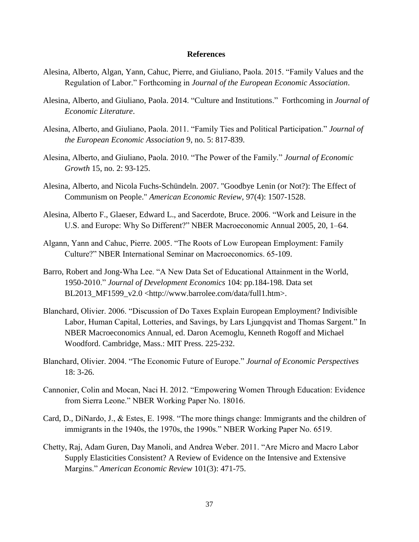### **References**

- Alesina, Alberto, Algan, Yann, Cahuc, Pierre, and Giuliano, Paola. 2015. "Family Values and the Regulation of Labor." Forthcoming in *Journal of the European Economic Association*.
- Alesina, Alberto, and Giuliano, Paola. 2014. "Culture and Institutions." Forthcoming in *Journal of Economic Literature*.
- Alesina, Alberto, and Giuliano, Paola. 2011. "Family Ties and Political Participation." *Journal of the European Economic Association* 9, no. 5: 817-839.
- Alesina, Alberto, and Giuliano, Paola. 2010. "The Power of the Family." *Journal of Economic Growth* 15, no. 2: 93-125.
- Alesina, Alberto, and Nicola Fuchs-Schündeln. 2007. "Goodbye Lenin (or Not?): The Effect of Communism on People." *American Economic Review*, 97(4): 1507-1528.
- Alesina, Alberto F., Glaeser, Edward L., and Sacerdote, Bruce. 2006. "Work and Leisure in the U.S. and Europe: Why So Different?" NBER Macroeconomic Annual 2005, 20, 1–64.
- Algann, Yann and Cahuc, Pierre. 2005. "The Roots of Low European Employment: Family Culture?" NBER International Seminar on Macroeconomics. 65-109.
- Barro, Robert and Jong-Wha Lee. "A New Data Set of Educational Attainment in the World, 1950-2010." *Journal of Development Economics* 104: pp.184-198. Data set BL2013\_MF1599\_v2.0 <http://www.barrolee.com/data/full1.htm>.
- Blanchard, Olivier. 2006. "Discussion of Do Taxes Explain European Employment? Indivisible Labor, Human Capital, Lotteries, and Savings, by Lars Ljungqvist and Thomas Sargent." In NBER Macroeconomics Annual, ed. Daron Acemoglu, Kenneth Rogoff and Michael Woodford. Cambridge, Mass.: MIT Press. 225-232.
- Blanchard, Olivier. 2004. "The Economic Future of Europe." *Journal of Economic Perspectives* 18: 3-26.
- Cannonier, Colin and Mocan, Naci H. 2012. "Empowering Women Through Education: Evidence from Sierra Leone." NBER Working Paper No. 18016.
- Card, D., DiNardo, J., & Estes, E. 1998. "The more things change: Immigrants and the children of immigrants in the 1940s, the 1970s, the 1990s." NBER Working Paper No. 6519.
- Chetty, Raj, Adam Guren, Day Manoli, and Andrea Weber. 2011. "Are Micro and Macro Labor Supply Elasticities Consistent? A Review of Evidence on the Intensive and Extensive Margins." *American Economic Review* 101(3): 471-75.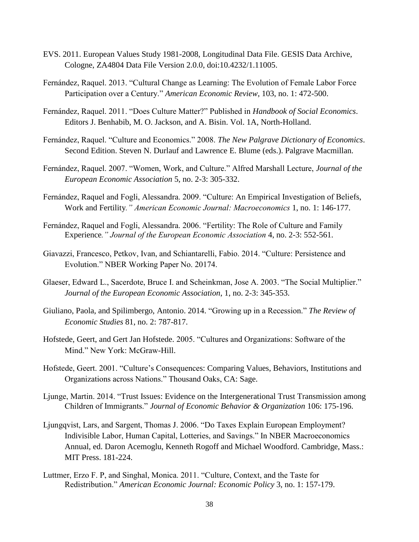- EVS. 2011. European Values Study 1981-2008, Longitudinal Data File. GESIS Data Archive, Cologne, ZA4804 Data File Version 2.0.0, doi:10.4232/1.11005.
- Fernández, Raquel. 2013. "Cultural Change as Learning: The Evolution of Female Labor Force Participation over a Century." *American Economic Review*, 103, no. 1: 472-500.
- Fernández, Raquel. 2011. "Does Culture Matter?" Published in *Handbook of Social Economics*. Editors J. Benhabib, M. O. Jackson, and A. Bisin. Vol. 1A, North-Holland.
- Fernández, Raquel. "Culture and Economics." 2008. *The New Palgrave Dictionary of Economics*. Second Edition. Steven N. Durlauf and Lawrence E. Blume (eds.). Palgrave Macmillan.
- Fernández, Raquel. 2007. "Women, Work, and Culture." Alfred Marshall Lecture, *Journal of the European Economic Association* 5, no. 2-3: 305-332.
- Fernández, Raquel and Fogli, Alessandra. 2009. "Culture: An Empirical Investigation of Beliefs, Work and Fertility*." American Economic Journal: Macroeconomics* 1, no. 1: 146-177.
- Fernández, Raquel and Fogli, Alessandra. 2006. "Fertility: The Role of Culture and Family Experience*." Journal of the European Economic Association* 4, no. 2-3: 552-561.
- Giavazzi, Francesco, Petkov, Ivan, and Schiantarelli, Fabio. 2014. "Culture: Persistence and Evolution." NBER Working Paper No. 20174.
- Glaeser, Edward L., Sacerdote, Bruce I. and Scheinkman, Jose A. 2003. "The Social Multiplier." *Journal of the European Economic Association*, 1, no. 2-3: 345-353.
- Giuliano, Paola, and Spilimbergo, Antonio. 2014. "Growing up in a Recession." *The Review of Economic Studies* 81, no. 2: 787-817.
- Hofstede, Geert, and Gert Jan Hofstede. 2005. "Cultures and Organizations: Software of the Mind." New York: McGraw-Hill.
- Hofstede, Geert. 2001. "Culture's Consequences: Comparing Values, Behaviors, Institutions and Organizations across Nations." Thousand Oaks, CA: Sage.
- Ljunge, Martin. 2014. "Trust Issues: Evidence on the Intergenerational Trust Transmission among Children of Immigrants." *Journal of Economic Behavior & Organization* 106: 175-196.
- Ljungqvist, Lars, and Sargent, Thomas J. 2006. "Do Taxes Explain European Employment? Indivisible Labor, Human Capital, Lotteries, and Savings." In NBER Macroeconomics Annual, ed. Daron Acemoglu, Kenneth Rogoff and Michael Woodford. Cambridge, Mass.: MIT Press. 181-224.
- Luttmer, Erzo F. P, and Singhal, Monica. 2011. "Culture, Context, and the Taste for Redistribution." *American Economic Journal: Economic Policy* 3, no. 1: 157-179.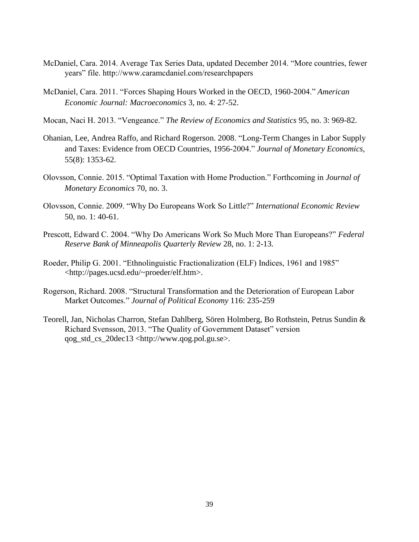- McDaniel, Cara. 2014. Average Tax Series Data, updated December 2014. "More countries, fewer years" file. http://www.caramcdaniel.com/researchpapers
- McDaniel, Cara. 2011. "Forces Shaping Hours Worked in the OECD, 1960-2004." *American Economic Journal: Macroeconomics* 3, no. 4: 27-52.
- Mocan, Naci H. 2013. "Vengeance." *The Review of Economics and Statistics* 95, no. 3: 969-82.
- Ohanian, Lee, Andrea Raffo, and Richard Rogerson. 2008. "Long-Term Changes in Labor Supply and Taxes: Evidence from OECD Countries, 1956-2004." *Journal of Monetary Economics*, 55(8): 1353-62.
- Olovsson, Connie. 2015. "Optimal Taxation with Home Production." Forthcoming in *Journal of Monetary Economics* 70, no. 3.
- Olovsson, Connie. 2009. "Why Do Europeans Work So Little?" *International Economic Review* 50, no. 1: 40-61.
- Prescott, Edward C. 2004. "Why Do Americans Work So Much More Than Europeans?" *Federal Reserve Bank of Minneapolis Quarterly Review* 28, no. 1: 2-13.
- Roeder, Philip G. 2001. "Ethnolinguistic Fractionalization (ELF) Indices, 1961 and 1985" <http://pages.ucsd.edu/~proeder/elf.htm>.
- Rogerson, Richard. 2008. "Structural Transformation and the Deterioration of European Labor Market Outcomes." *Journal of Political Economy* 116: 235-259
- Teorell, Jan, Nicholas Charron, Stefan Dahlberg, Sören Holmberg, Bo Rothstein, Petrus Sundin & Richard Svensson, 2013. "The Quality of Government Dataset" version qog\_std\_cs\_20dec13 <http://www.qog.pol.gu.se>.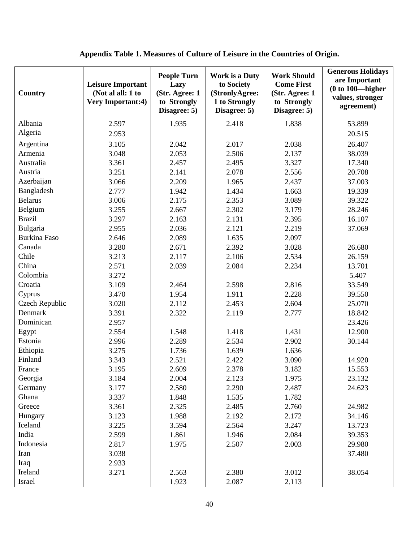| Country        | <b>Leisure Important</b><br>(Not al all: 1 to<br><b>Very Important:4)</b> | <b>People Turn</b><br>Lazy<br>(Str. Agree: 1<br>to Strongly<br>Disagree: 5) | <b>Work is a Duty</b><br>to Society<br>(StronlyAgree:<br>1 to Strongly<br>Disagree: 5) | <b>Work Should</b><br><b>Come First</b><br>(Str. Agree: 1<br>to Strongly<br>Disagree: 5) | <b>Generous Holidays</b><br>are Important<br>$(0 to 100$ -higher<br>values, stronger<br>agreement) |
|----------------|---------------------------------------------------------------------------|-----------------------------------------------------------------------------|----------------------------------------------------------------------------------------|------------------------------------------------------------------------------------------|----------------------------------------------------------------------------------------------------|
| Albania        | 2.597                                                                     | 1.935                                                                       | 2.418                                                                                  | 1.838                                                                                    | 53.899                                                                                             |
| Algeria        | 2.953                                                                     |                                                                             |                                                                                        |                                                                                          | 20.515                                                                                             |
| Argentina      | 3.105                                                                     | 2.042                                                                       | 2.017                                                                                  | 2.038                                                                                    | 26.407                                                                                             |
| Armenia        | 3.048                                                                     | 2.053                                                                       | 2.506                                                                                  | 2.137                                                                                    | 38.039                                                                                             |
| Australia      | 3.361                                                                     | 2.457                                                                       | 2.495                                                                                  | 3.327                                                                                    | 17.340                                                                                             |
| Austria        | 3.251                                                                     | 2.141                                                                       | 2.078                                                                                  | 2.556                                                                                    | 20.708                                                                                             |
| Azerbaijan     | 3.066                                                                     | 2.209                                                                       | 1.965                                                                                  | 2.437                                                                                    | 37.003                                                                                             |
| Bangladesh     | 2.777                                                                     | 1.942                                                                       | 1.434                                                                                  | 1.663                                                                                    | 19.339                                                                                             |
| <b>Belarus</b> | 3.006                                                                     | 2.175                                                                       | 2.353                                                                                  | 3.089                                                                                    | 39.322                                                                                             |
| Belgium        | 3.255                                                                     | 2.667                                                                       | 2.302                                                                                  | 3.179                                                                                    | 28.246                                                                                             |
| <b>Brazil</b>  | 3.297                                                                     | 2.163                                                                       | 2.131                                                                                  | 2.395                                                                                    | 16.107                                                                                             |
| Bulgaria       | 2.955                                                                     | 2.036                                                                       | 2.121                                                                                  | 2.219                                                                                    | 37.069                                                                                             |
| Burkina Faso   | 2.646                                                                     | 2.089                                                                       | 1.635                                                                                  | 2.097                                                                                    |                                                                                                    |
| Canada         | 3.280                                                                     | 2.671                                                                       | 2.392                                                                                  | 3.028                                                                                    | 26.680                                                                                             |
| Chile          | 3.213                                                                     | 2.117                                                                       | 2.106                                                                                  | 2.534                                                                                    | 26.159                                                                                             |
| China          | 2.571                                                                     | 2.039                                                                       | 2.084                                                                                  | 2.234                                                                                    | 13.701                                                                                             |
| Colombia       | 3.272                                                                     |                                                                             |                                                                                        |                                                                                          | 5.407                                                                                              |
| Croatia        | 3.109                                                                     | 2.464                                                                       | 2.598                                                                                  | 2.816                                                                                    | 33.549                                                                                             |
| Cyprus         | 3.470                                                                     | 1.954                                                                       | 1.911                                                                                  | 2.228                                                                                    | 39.550                                                                                             |
| Czech Republic | 3.020                                                                     | 2.112                                                                       | 2.453                                                                                  | 2.604                                                                                    | 25.070                                                                                             |
| Denmark        | 3.391                                                                     | 2.322                                                                       | 2.119                                                                                  | 2.777                                                                                    | 18.842                                                                                             |
| Dominican      | 2.957                                                                     |                                                                             |                                                                                        |                                                                                          | 23.426                                                                                             |
| Egypt          | 2.554                                                                     | 1.548                                                                       | 1.418                                                                                  | 1.431                                                                                    | 12.900                                                                                             |
| Estonia        | 2.996                                                                     | 2.289                                                                       | 2.534                                                                                  | 2.902                                                                                    | 30.144                                                                                             |
| Ethiopia       | 3.275                                                                     | 1.736                                                                       | 1.639                                                                                  | 1.636                                                                                    |                                                                                                    |
| Finland        | 3.343                                                                     | 2.521                                                                       | 2.422                                                                                  | 3.090                                                                                    | 14.920                                                                                             |
| France         | 3.195                                                                     | 2.609                                                                       | 2.378                                                                                  | 3.182                                                                                    | 15.553                                                                                             |
| Georgia        | 3.184                                                                     | 2.004                                                                       | 2.123                                                                                  | 1.975                                                                                    | 23.132                                                                                             |
| Germany        | 3.177                                                                     | 2.580                                                                       | 2.290                                                                                  | 2.487                                                                                    | 24.623                                                                                             |
| Ghana          | 3.337                                                                     | 1.848                                                                       | 1.535                                                                                  | 1.782                                                                                    |                                                                                                    |
| Greece         | 3.361                                                                     | 2.325                                                                       | 2.485                                                                                  | 2.760                                                                                    | 24.982                                                                                             |
| Hungary        | 3.123                                                                     | 1.988                                                                       | 2.192                                                                                  | 2.172                                                                                    | 34.146                                                                                             |
| Iceland        | 3.225                                                                     | 3.594                                                                       | 2.564                                                                                  | 3.247                                                                                    | 13.723                                                                                             |
| India          | 2.599                                                                     | 1.861                                                                       | 1.946                                                                                  | 2.084                                                                                    | 39.353                                                                                             |
| Indonesia      | 2.817                                                                     | 1.975                                                                       | 2.507                                                                                  | 2.003                                                                                    | 29.980                                                                                             |
| Iran           | 3.038                                                                     |                                                                             |                                                                                        |                                                                                          | 37.480                                                                                             |
| Iraq           | 2.933                                                                     |                                                                             |                                                                                        |                                                                                          |                                                                                                    |
| Ireland        | 3.271                                                                     | 2.563                                                                       | 2.380                                                                                  | 3.012                                                                                    | 38.054                                                                                             |
| Israel         |                                                                           | 1.923                                                                       | 2.087                                                                                  | 2.113                                                                                    |                                                                                                    |

### **Appendix Table 1. Measures of Culture of Leisure in the Countries of Origin.**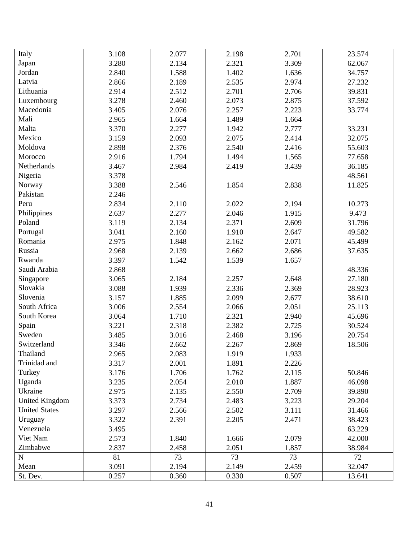| Italy                 | 3.108 | 2.077 | 2.198 | 2.701 | 23.574 |
|-----------------------|-------|-------|-------|-------|--------|
| Japan                 | 3.280 | 2.134 | 2.321 | 3.309 | 62.067 |
| Jordan                | 2.840 | 1.588 | 1.402 | 1.636 | 34.757 |
| Latvia                | 2.866 | 2.189 | 2.535 | 2.974 | 27.232 |
| Lithuania             | 2.914 | 2.512 | 2.701 | 2.706 | 39.831 |
| Luxembourg            | 3.278 | 2.460 | 2.073 | 2.875 | 37.592 |
| Macedonia             | 3.405 | 2.076 | 2.257 | 2.223 | 33.774 |
| Mali                  | 2.965 | 1.664 | 1.489 | 1.664 |        |
| Malta                 | 3.370 | 2.277 | 1.942 | 2.777 | 33.231 |
| Mexico                | 3.159 | 2.093 | 2.075 | 2.414 | 32.075 |
| Moldova               | 2.898 | 2.376 | 2.540 | 2.416 | 55.603 |
| Morocco               | 2.916 | 1.794 | 1.494 | 1.565 | 77.658 |
| Netherlands           | 3.467 | 2.984 | 2.419 | 3.439 | 36.185 |
| Nigeria               | 3.378 |       |       |       | 48.561 |
| Norway                | 3.388 | 2.546 | 1.854 | 2.838 | 11.825 |
| Pakistan              | 2.246 |       |       |       |        |
| Peru                  | 2.834 | 2.110 | 2.022 | 2.194 | 10.273 |
| Philippines           | 2.637 | 2.277 | 2.046 | 1.915 | 9.473  |
| Poland                | 3.119 | 2.134 | 2.371 | 2.609 | 31.796 |
| Portugal              | 3.041 | 2.160 | 1.910 | 2.647 | 49.582 |
| Romania               | 2.975 | 1.848 | 2.162 | 2.071 | 45.499 |
| Russia                | 2.968 | 2.139 | 2.662 | 2.686 | 37.635 |
| Rwanda                | 3.397 | 1.542 | 1.539 | 1.657 |        |
| Saudi Arabia          | 2.868 |       |       |       | 48.336 |
| Singapore             | 3.065 | 2.184 | 2.257 | 2.648 | 27.180 |
| Slovakia              | 3.088 | 1.939 | 2.336 | 2.369 | 28.923 |
| Slovenia              | 3.157 | 1.885 | 2.099 | 2.677 | 38.610 |
| South Africa          | 3.006 | 2.554 | 2.066 | 2.051 | 25.113 |
| South Korea           | 3.064 | 1.710 | 2.321 | 2.940 | 45.696 |
| Spain                 | 3.221 | 2.318 | 2.382 | 2.725 | 30.524 |
| Sweden                | 3.485 | 3.016 | 2.468 | 3.196 | 20.754 |
| Switzerland           | 3.346 | 2.662 | 2.267 | 2.869 | 18.506 |
| Thailand              | 2.965 | 2.083 | 1.919 | 1.933 |        |
| Trinidad and          | 3.317 | 2.001 | 1.891 | 2.226 |        |
| Turkey                | 3.176 | 1.706 | 1.762 | 2.115 | 50.846 |
| Uganda                | 3.235 | 2.054 | 2.010 | 1.887 | 46.098 |
| Ukraine               | 2.975 | 2.135 | 2.550 | 2.709 | 39.890 |
| <b>United Kingdom</b> | 3.373 | 2.734 | 2.483 | 3.223 | 29.204 |
| <b>United States</b>  | 3.297 | 2.566 | 2.502 | 3.111 | 31.466 |
| Uruguay               | 3.322 | 2.391 | 2.205 | 2.471 | 38.423 |
| Venezuela             | 3.495 |       |       |       | 63.229 |
| Viet Nam              | 2.573 | 1.840 | 1.666 | 2.079 | 42.000 |
| Zimbabwe              | 2.837 | 2.458 | 2.051 | 1.857 | 38.984 |
| ${\bf N}$             | 81    | 73    | 73    | 73    | 72     |
| Mean                  | 3.091 | 2.194 | 2.149 | 2.459 | 32.047 |
| St. Dev.              | 0.257 | 0.360 | 0.330 | 0.507 | 13.641 |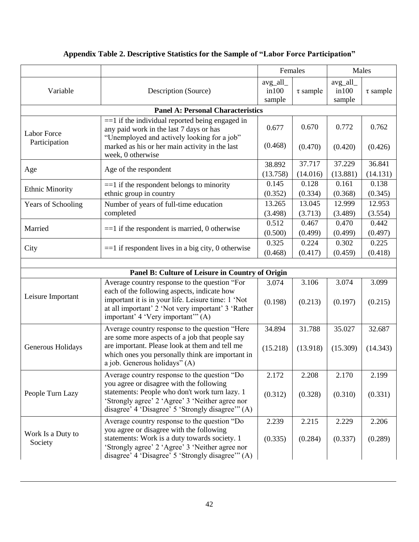|                              |                                                                                                                                                                                                                                                    |                              | Females            |                              | Males              |
|------------------------------|----------------------------------------------------------------------------------------------------------------------------------------------------------------------------------------------------------------------------------------------------|------------------------------|--------------------|------------------------------|--------------------|
| Variable                     | Description (Source)                                                                                                                                                                                                                               | avg_all_<br>in 100<br>sample | $\tau$ sample      | avg_all_<br>in 100<br>sample | $\tau$ sample      |
|                              | <b>Panel A: Personal Characteristics</b>                                                                                                                                                                                                           |                              |                    |                              |                    |
| <b>Labor Force</b>           | $==1$ if the individual reported being engaged in<br>any paid work in the last 7 days or has<br>"Unemployed and actively looking for a job"                                                                                                        |                              | 0.670              | 0.772                        | 0.762              |
| Participation                | marked as his or her main activity in the last<br>week, 0 otherwise                                                                                                                                                                                | (0.468)                      | (0.470)            | (0.420)                      | (0.426)            |
| Age                          | Age of the respondent                                                                                                                                                                                                                              | 38.892<br>(13.758)           | 37.717<br>(14.016) | 37.229<br>(13.881)           | 36.841<br>(14.131) |
| <b>Ethnic Minority</b>       | $==1$ if the respondent belongs to minority<br>ethnic group in country                                                                                                                                                                             | 0.145<br>(0.352)             | 0.128<br>(0.334)   | 0.161<br>(0.368)             | 0.138<br>(0.345)   |
| Years of Schooling           | Number of years of full-time education<br>completed                                                                                                                                                                                                | 13.265<br>(3.498)            | 13.045<br>(3.713)  | 12.999<br>(3.489)            | 12.953<br>(3.554)  |
| Married                      | $==1$ if the respondent is married, 0 otherwise                                                                                                                                                                                                    | 0.512<br>(0.500)             | 0.467<br>(0.499)   | 0.470<br>(0.499)             | 0.442<br>(0.497)   |
| City                         | $==1$ if respondent lives in a big city, 0 otherwise                                                                                                                                                                                               | 0.325<br>(0.468)             | 0.224<br>(0.417)   | 0.302<br>(0.459)             | 0.225<br>(0.418)   |
|                              |                                                                                                                                                                                                                                                    |                              |                    |                              |                    |
|                              | Panel B: Culture of Leisure in Country of Origin                                                                                                                                                                                                   |                              |                    |                              |                    |
| Leisure Important            | Average country response to the question "For<br>each of the following aspects, indicate how<br>important it is in your life. Leisure time: 1 'Not<br>at all important' 2 'Not very important' 3 'Rather<br>important' 4 'Very important'" (A)     | 3.074<br>(0.198)             | 3.106<br>(0.213)   | 3.074<br>(0.197)             | 3.099<br>(0.215)   |
| Generous Holidays            | Average country response to the question "Here<br>are some more aspects of a job that people say<br>are important. Please look at them and tell me<br>which ones you personally think are important in                                             | 34.894<br>(15.218)           | 31.788<br>(13.918) | 35.027<br>(15.309)           | 32.687<br>(14.343) |
|                              | a job. Generous holidays" (A)                                                                                                                                                                                                                      |                              |                    |                              |                    |
| People Turn Lazy             | Average country response to the question "Do<br>you agree or disagree with the following<br>statements: People who don't work turn lazy. 1<br>'Strongly agree' 2 'Agree' 3 'Neither agree nor<br>disagree' 4 'Disagree' 5 'Strongly disagree'" (A) | 2.172<br>(0.312)             | 2.208<br>(0.328)   | 2.170<br>(0.310)             | 2.199<br>(0.331)   |
| Work Is a Duty to<br>Society | Average country response to the question "Do<br>you agree or disagree with the following<br>statements: Work is a duty towards society. 1<br>'Strongly agree' 2 'Agree' 3 'Neither agree nor<br>disagree' 4 'Disagree' 5 'Strongly disagree'" (A)  | 2.239<br>(0.335)             | 2.215<br>(0.284)   | 2.229<br>(0.337)             | 2.206<br>(0.289)   |

### **Appendix Table 2. Descriptive Statistics for the Sample of "Labor Force Participation"**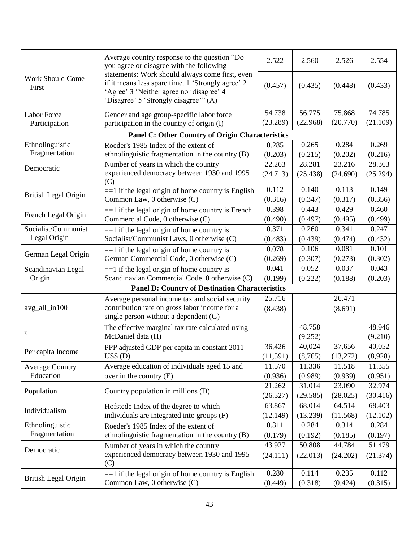|                             | Average country response to the question "Do<br>you agree or disagree with the following                                                                                                  | 2.522    | 2.560    | 2.526    | 2.554    |
|-----------------------------|-------------------------------------------------------------------------------------------------------------------------------------------------------------------------------------------|----------|----------|----------|----------|
| Work Should Come<br>First   | statements: Work should always come first, even<br>if it means less spare time. 1 'Strongly agree' 2<br>'Agree' 3 'Neither agree nor disagree' 4<br>'Disagree' 5 'Strongly disagree'" (A) | (0.457)  | (0.435)  | (0.448)  | (0.433)  |
| <b>Labor Force</b>          | Gender and age group-specific labor force                                                                                                                                                 | 54.738   | 56.775   | 75.868   | 74.785   |
| Participation               | participation in the country of origin (I)                                                                                                                                                | (23.289) | (22.968) | (20.770) | (21.109) |
|                             | <b>Panel C: Other Country of Origin Characteristics</b>                                                                                                                                   |          |          |          |          |
| Ethnolinguistic             | Roeder's 1985 Index of the extent of                                                                                                                                                      | 0.285    | 0.265    | 0.284    | 0.269    |
| Fragmentation               | ethnolinguistic fragmentation in the country (B)                                                                                                                                          | (0.203)  | (0.215)  | (0.202)  | (0.216)  |
| Democratic                  | Number of years in which the country                                                                                                                                                      | 22.263   | 28.281   | 23.216   | 28.363   |
|                             | experienced democracy between 1930 and 1995<br>(C)                                                                                                                                        | (24.713) | (25.438) | (24.690) | (25.294) |
| British Legal Origin        | $==1$ if the legal origin of home country is English                                                                                                                                      | 0.112    | 0.140    | 0.113    | 0.149    |
|                             | Common Law, 0 otherwise (C)                                                                                                                                                               | (0.316)  | (0.347)  | (0.317)  | (0.356)  |
| French Legal Origin         | $==1$ if the legal origin of home country is French                                                                                                                                       | 0.398    | 0.443    | 0.429    | 0.460    |
|                             | Commercial Code, 0 otherwise (C)                                                                                                                                                          | (0.490)  | (0.497)  | (0.495)  | (0.499)  |
| Socialist/Communist         | $==1$ if the legal origin of home country is                                                                                                                                              | 0.371    | 0.260    | 0.341    | 0.247    |
| Legal Origin                | Socialist/Communist Laws, 0 otherwise (C)                                                                                                                                                 | (0.483)  | (0.439)  | (0.474)  | (0.432)  |
| German Legal Origin         | $==1$ if the legal origin of home country is                                                                                                                                              | 0.078    | 0.106    | 0.081    | 0.101    |
|                             | German Commercial Code, 0 otherwise (C)                                                                                                                                                   | (0.269)  | (0.307)  | (0.273)  | (0.302)  |
| Scandinavian Legal          | $==1$ if the legal origin of home country is                                                                                                                                              | 0.041    | 0.052    | 0.037    | 0.043    |
| Origin                      | Scandinavian Commercial Code, 0 otherwise (C)                                                                                                                                             | (0.199)  | (0.222)  | (0.188)  | (0.203)  |
|                             | <b>Panel D: Country of Destination Characteristics</b>                                                                                                                                    |          |          |          |          |
|                             | Average personal income tax and social security                                                                                                                                           | 25.716   |          | 26.471   |          |
| avg_all_in100               | contribution rate on gross labor income for a<br>single person without a dependent (G)                                                                                                    | (8.438)  |          | (8.691)  |          |
| τ                           | The effective marginal tax rate calculated using                                                                                                                                          |          | 48.758   |          | 48.946   |
|                             | McDaniel data (H)                                                                                                                                                                         |          | (9.252)  |          | (9.210)  |
| Per capita Income           | PPP adjusted GDP per capita in constant 2011                                                                                                                                              | 36,426   | 40,024   | 37,656   | 40,052   |
|                             | $US$$ $(D)$                                                                                                                                                                               | (11,591) | (8,765)  | (13,272) | (8,928)  |
| <b>Average Country</b>      | Average education of individuals aged 15 and                                                                                                                                              | 11.570   | 11.336   | 11.518   | 11.355   |
| Education                   | over in the country $(E)$                                                                                                                                                                 | (0.936)  | (0.989)  | (0.939)  | (0.951)  |
| Population                  | Country population in millions (D)                                                                                                                                                        | 21.262   | 31.014   | 23.090   | 32.974   |
|                             |                                                                                                                                                                                           | (26.527) | (29.585) | (28.025) | (30.416) |
| Individualism               | Hofstede Index of the degree to which                                                                                                                                                     | 63.867   | 68.014   | 64.514   | 68.403   |
|                             | individuals are integrated into groups (F)                                                                                                                                                | (12.149) | (13.239) | (11.568) | (12.102) |
| Ethnolinguistic             | Roeder's 1985 Index of the extent of                                                                                                                                                      | 0.311    | 0.284    | 0.314    | 0.284    |
| Fragmentation               | ethnolinguistic fragmentation in the country (B)                                                                                                                                          | (0.179)  | (0.192)  | (0.185)  | (0.197)  |
| Democratic                  | Number of years in which the country                                                                                                                                                      | 43.927   | 50.808   | 44.784   | 51.479   |
|                             | experienced democracy between 1930 and 1995<br>(C)                                                                                                                                        | (24.111) | (22.013) | (24.202) | (21.374) |
|                             | $==1$ if the legal origin of home country is English                                                                                                                                      | 0.280    | 0.114    | 0.235    | 0.112    |
| <b>British Legal Origin</b> | Common Law, 0 otherwise (C)                                                                                                                                                               | (0.449)  | (0.318)  | (0.424)  | (0.315)  |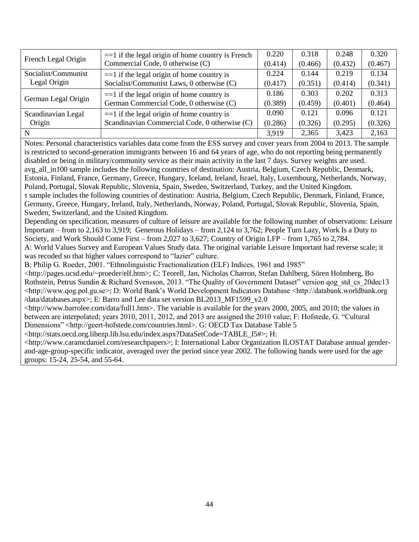|                     | $==1$ if the legal origin of home country is French<br>Commercial Code, 0 otherwise (C) |         | 0.318   | 0.248   | 0.320   |
|---------------------|-----------------------------------------------------------------------------------------|---------|---------|---------|---------|
| French Legal Origin |                                                                                         |         | (0.466) | (0.432) | (0.467) |
| Socialist/Communist | $==1$ if the legal origin of home country is                                            | 0.224   | 0.144   | 0.219   | 0.134   |
| Legal Origin        | Socialist/Communist Laws, 0 otherwise (C)                                               | (0.417) | (0.351) | (0.414) | (0.341) |
| German Legal Origin | $==1$ if the legal origin of home country is                                            | 0.186   | 0.303   | 0.202   | 0.313   |
|                     | German Commercial Code, 0 otherwise (C)                                                 | (0.389) | (0.459) | (0.401) | (0.464) |
| Scandinavian Legal  | $==1$ if the legal origin of home country is                                            | 0.090   | 0.121   | 0.096   | 0.121   |
| Origin              | Scandinavian Commercial Code, 0 otherwise (C)                                           | (0.286) | (0.326) | (0.295) | (0.326) |
| N                   |                                                                                         | 3.919   | 2,365   | 3,423   | 2,163   |

Notes: Personal characteristics variables data come from the ESS survey and cover years from 2004 to 2013. The sample is restricted to second-generation immigrants between 16 and 64 years of age, who do not reporting being permanently disabled or being in military/community service as their main activity in the last 7 days. Survey weights are used. avg\_all\_in100 sample includes the following countries of destination: Austria, Belgium, Czech Republic, Denmark, Estonia, Finland, France, Germany, Greece, Hungary, Iceland, Ireland, Israel, Italy, Luxembourg, Netherlands, Norway, Poland, Portugal, Slovak Republic, Slovenia, Spain, Sweden, Switzerland, Turkey, and the United Kingdom. τ sample includes the following countries of destination: Austria, Belgium, Czech Republic, Denmark, Finland, France, Germany, Greece, Hungary, Ireland, Italy, Netherlands, Norway, Poland, Portugal, Slovak Republic, Slovenia, Spain, Sweden, Switzerland, and the United Kingdom.

Depending on specification, measures of culture of leisure are available for the following number of observations: Leisure Important – from to 2,163 to 3,919; Generous Holidays – from 2,124 to 3,762; People Turn Lazy, Work Is a Duty to Society, and Work Should Come First – from 2,027 to 3,627; Country of Origin LFP – from 1,765 to 2,784.

A: World Values Survey and European Values Study data. The original variable Leisure Important had reverse scale; it was recoded so that higher values correspond to "lazier" culture.

B: Philip G. Roeder, 2001. "Ethnolinguistic Fractionalization (ELF) Indices, 1961 and 1985"

<http://pages.ucsd.edu/~proeder/elf.htm>; C: Teorell, Jan, Nicholas Charron, Stefan Dahlberg, Sören Holmberg, Bo Rothstein, Petrus Sundin & Richard Svensson, 2013. "The Quality of Government Dataset" version qog\_std\_cs\_20dec13 <http://www.qog.pol.gu.se>; D: World Bank"s World Development Indicators Database <http://databank.worldbank.org /data/databases.aspx>; E: Barro and Lee data set version BL2013\_MF1599\_v2.0

<http://www.barrolee.com/data/full1.htm>. The variable is available for the years 2000, 2005, and 2010; the values in between are interpolated; years 2010, 2011, 2012, and 2013 are assigned the 2010 value; F: Hofstede, G. "Cultural Dimensions" <http://geert-hofstede.com/countries.html>. G: OECD Tax Database Table 5

<http://stats.oecd.org.libezp.lib.lsu.edu/index.aspx?DataSetCode=TABLE\_I5#>; H:

<http://www.caramcdaniel.com/researchpapers>; I: International Labor Organization ILOSTAT Database annual genderand-age-group-specific indicator, averaged over the period since year 2002. The following bands were used for the age groups: 15-24, 25-54, and 55-64.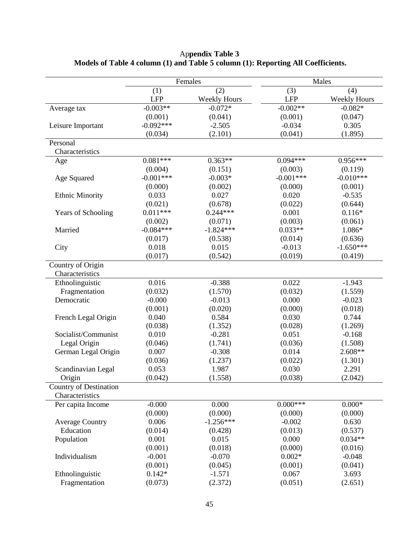|                               |             | Females             |             | Males               |  |  |
|-------------------------------|-------------|---------------------|-------------|---------------------|--|--|
|                               | (1)         | (2)                 | (3)         | (4)                 |  |  |
|                               | <b>LFP</b>  | <b>Weekly Hours</b> | <b>LFP</b>  | <b>Weekly Hours</b> |  |  |
| Average tax                   | $-0.003**$  | $-0.072*$           | $-0.002**$  | $-0.082*$           |  |  |
|                               | (0.001)     | (0.041)             | (0.001)     | (0.047)             |  |  |
| Leisure Important             | $-0.092***$ | $-2.505$            | $-0.034$    | 0.305               |  |  |
|                               | (0.034)     | (2.101)             | (0.041)     | (1.895)             |  |  |
| Personal                      |             |                     |             |                     |  |  |
| Characteristics               |             |                     |             |                     |  |  |
| Age                           | $0.081***$  | $0.363**$           | $0.094***$  | $0.956***$          |  |  |
|                               | (0.004)     | (0.151)             | (0.003)     | (0.119)             |  |  |
| Age Squared                   | $-0.001***$ | $-0.003*$           | $-0.001***$ | $-0.010***$         |  |  |
|                               | (0.000)     | (0.002)             | (0.000)     | (0.001)             |  |  |
| <b>Ethnic Minority</b>        | 0.033       | 0.027               | 0.020       | $-0.535$            |  |  |
|                               | (0.021)     | (0.678)             | (0.022)     | (0.644)             |  |  |
| <b>Years of Schooling</b>     | $0.011***$  | $0.244***$          | 0.001       | $0.116*$            |  |  |
|                               | (0.002)     | (0.071)             | (0.003)     | (0.061)             |  |  |
| Married                       | $-0.084***$ | $-1.824***$         | $0.033**$   | 1.086*              |  |  |
|                               | (0.017)     | (0.538)             | (0.014)     | (0.636)             |  |  |
| City                          | 0.018       | 0.015               | $-0.013$    | $-1.650***$         |  |  |
|                               | (0.017)     | (0.542)             | (0.019)     | (0.419)             |  |  |
| Country of Origin             |             |                     |             |                     |  |  |
| Characteristics               |             |                     |             |                     |  |  |
| Ethnolinguistic               | 0.016       | $-0.388$            | 0.022       | $-1.943$            |  |  |
| Fragmentation                 | (0.032)     | (1.570)             | (0.032)     | (1.559)             |  |  |
| Democratic                    | $-0.000$    | $-0.013$            | 0.000       | $-0.023$            |  |  |
|                               | (0.001)     | (0.020)             | (0.000)     | (0.018)             |  |  |
| French Legal Origin           | 0.040       | 0.584               | 0.030       | 0.744               |  |  |
|                               | (0.038)     | (1.352)             | (0.028)     | (1.269)             |  |  |
| Socialist/Communist           | 0.010       | $-0.281$            | 0.051       | $-0.168$            |  |  |
| Legal Origin                  | (0.046)     | (1.741)             | (0.036)     | (1.508)             |  |  |
| German Legal Origin           | 0.007       | $-0.308$            | 0.014       | $2.608**$           |  |  |
|                               | (0.036)     | (1.237)             | (0.022)     | (1.301)             |  |  |
| Scandinavian Legal            | 0.053       | 1.987               | 0.030       | 2.291               |  |  |
| Origin                        | (0.042)     | (1.558)             | (0.038)     | (2.042)             |  |  |
| <b>Country of Destination</b> |             |                     |             |                     |  |  |
| Characteristics               |             |                     |             |                     |  |  |
| Per capita Income             | $-0.000$    | 0.000               | $0.000***$  | $0.000*$            |  |  |
|                               | (0.000)     | (0.000)             | (0.000)     | (0.000)             |  |  |
| <b>Average Country</b>        | 0.006       | $-1.256***$         | $-0.002$    | 0.630               |  |  |
| Education                     | (0.014)     | (0.428)             | (0.013)     | (0.537)             |  |  |
| Population                    | 0.001       | 0.015               | 0.000       | $0.034**$           |  |  |
|                               | (0.001)     | (0.018)             | (0.000)     | (0.016)             |  |  |
| Individualism                 | $-0.001$    | $-0.070$            | $0.002*$    | $-0.048$            |  |  |
|                               | (0.001)     | (0.045)             | (0.001)     | (0.041)             |  |  |
| Ethnolinguistic               | $0.142*$    | $-1.571$            | 0.067       | 3.693               |  |  |
| Fragmentation                 | (0.073)     | (2.372)             | (0.051)     | (2.651)             |  |  |

Ap**pendix Table 3 Models of Table 4 column (1) and Table 5 column (1): Reporting All Coefficients.**